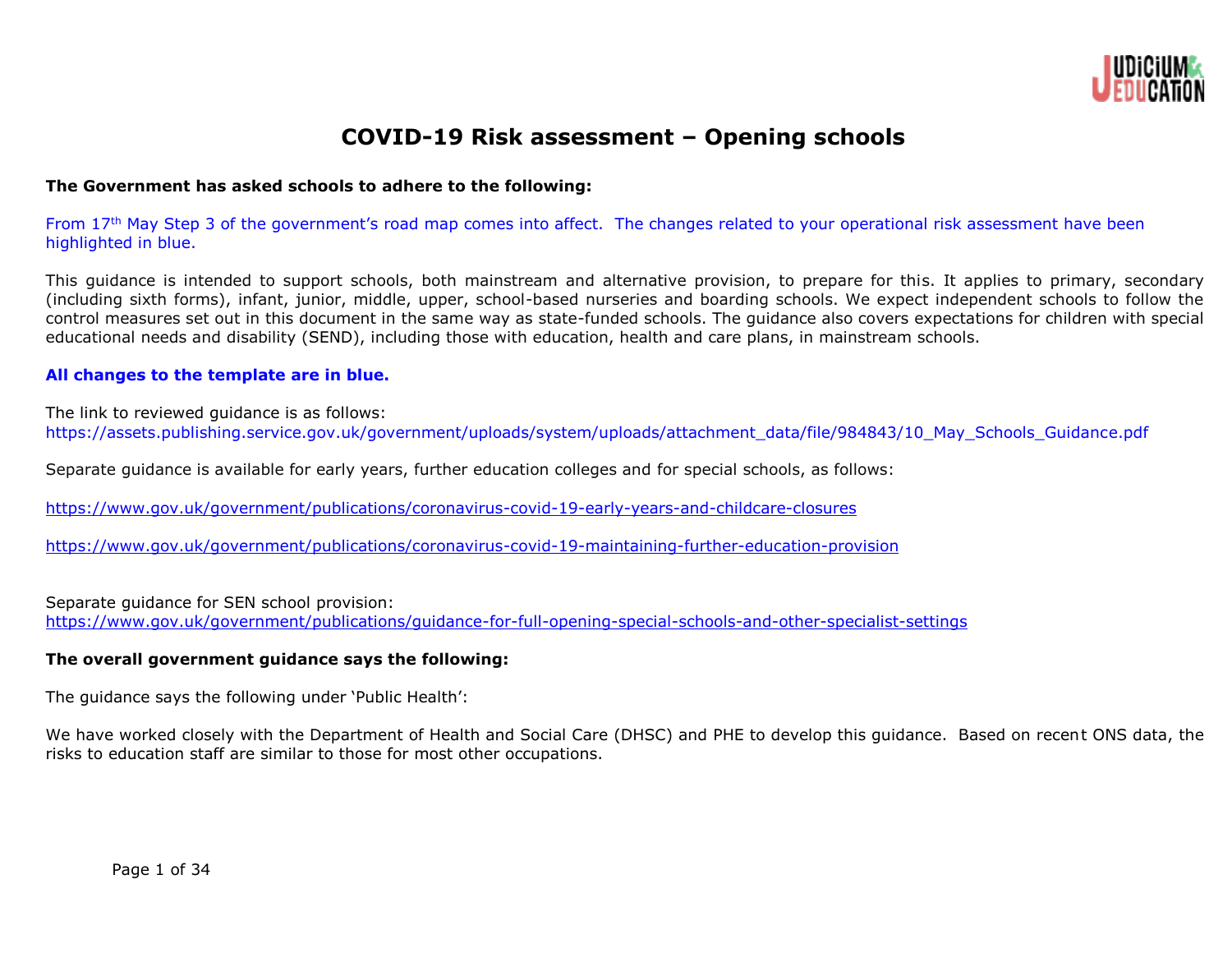

# **COVID-19 Risk assessment – Opening schools**

#### **The Government has asked schools to adhere to the following:**

From 17th May Step 3 of the government's road map comes into affect. The changes related to your operational risk assessment have been highlighted in blue.

This guidance is intended to support schools, both mainstream and alternative provision, to prepare for this. It applies to primary, secondary (including sixth forms), infant, junior, middle, upper, school-based nurseries and boarding schools. We expect independent schools to follow the control measures set out in this document in the same way as state-funded schools. The guidance also covers expectations for children with special educational needs and disability (SEND), including those with education, health and care plans, in mainstream schools.

#### **All changes to the template are in blue.**

The link to reviewed guidance is as follows:

https://assets.publishing.service.gov.uk/government/uploads/system/uploads/attachment\_data/file/984843/10\_May\_Schools\_Guidance.pdf

Separate guidance is available for early years, further education colleges and for special schools, as follows:

<https://www.gov.uk/government/publications/coronavirus-covid-19-early-years-and-childcare-closures>

<https://www.gov.uk/government/publications/coronavirus-covid-19-maintaining-further-education-provision>

Separate guidance for SEN school provision:

<https://www.gov.uk/government/publications/guidance-for-full-opening-special-schools-and-other-specialist-settings>

# **The overall government guidance says the following:**

The guidance says the following under 'Public Health':

We have worked closely with the Department of Health and Social Care (DHSC) and PHE to develop this guidance. Based on recent ONS data, the risks to education staff are similar to those for most other occupations.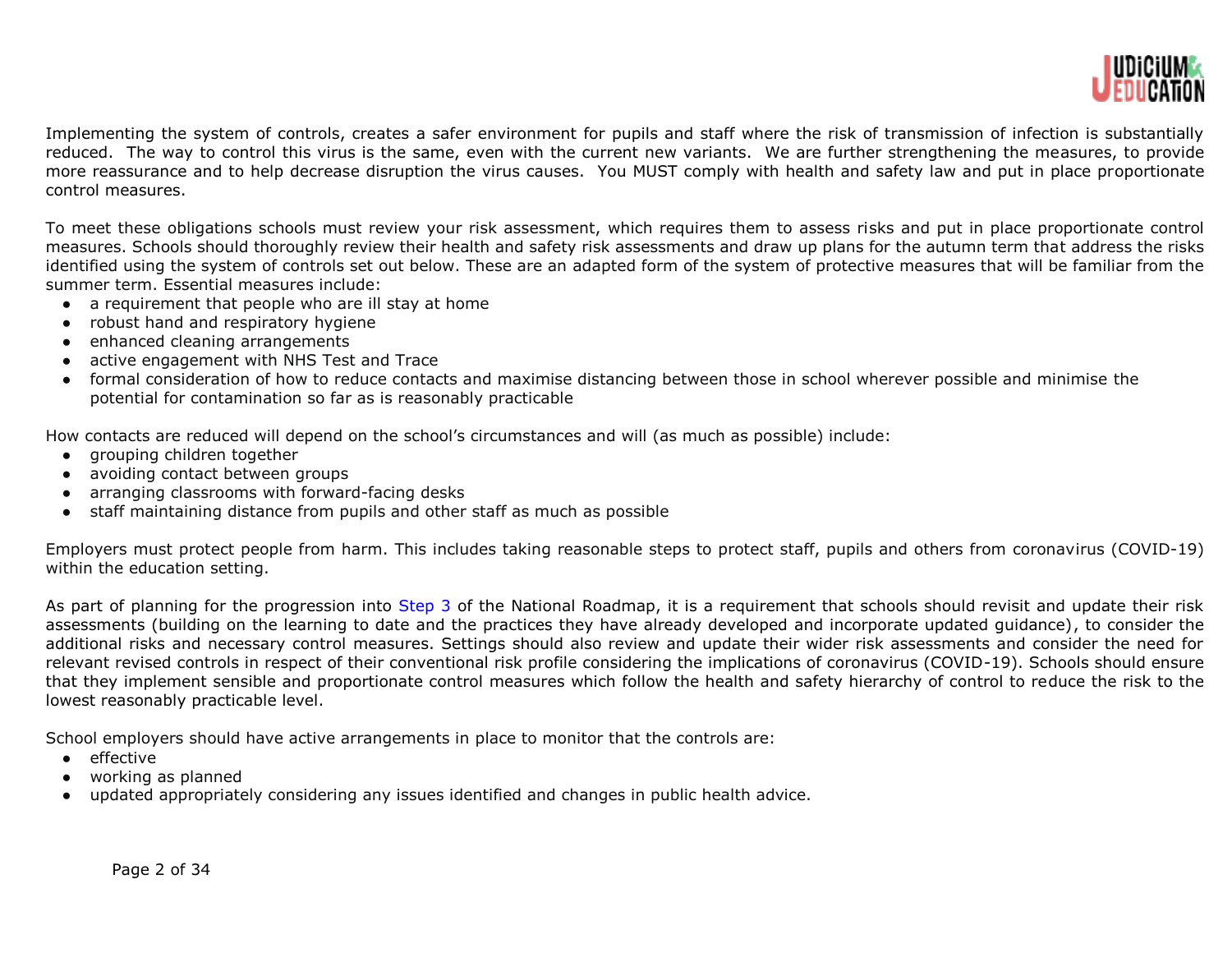

Implementing the system of controls, creates a safer environment for pupils and staff where the risk of transmission of infection is substantially reduced. The way to control this virus is the same, even with the current new variants. We are further strengthening the measures, to provide more reassurance and to help decrease disruption the virus causes. You MUST comply with health and safety law and put in place proportionate control measures.

To meet these obligations schools must review your risk assessment, which requires them to assess risks and put in place proportionate control measures. Schools should thoroughly review their health and safety risk assessments and draw up plans for the autumn term that address the risks identified using the system of controls set out below. These are an adapted form of the system of protective measures that will be familiar from the summer term. Essential measures include:

- a requirement that people who are ill stay at home
- robust hand and respiratory hygiene
- enhanced cleaning arrangements
- active engagement with NHS Test and Trace
- formal consideration of how to reduce contacts and maximise distancing between those in school wherever possible and minimise the potential for contamination so far as is reasonably practicable

How contacts are reduced will depend on the school's circumstances and will (as much as possible) include:

- grouping children together
- avoiding contact between groups
- arranging classrooms with forward-facing desks
- staff maintaining distance from pupils and other staff as much as possible

Employers must protect people from harm. This includes taking reasonable steps to protect staff, pupils and others from coronavirus (COVID-19) within the education setting.

As part of planning for the progression into Step 3 of the National Roadmap, it is a requirement that schools should revisit and update their risk assessments (building on the learning to date and the practices they have already developed and incorporate updated guidance), to consider the additional risks and necessary control measures. Settings should also review and update their wider risk assessments and consider the need for relevant revised controls in respect of their conventional risk profile considering the implications of coronavirus (COVID-19). Schools should ensure that they implement sensible and proportionate control measures which follow the health and safety hierarchy of control to reduce the risk to the lowest reasonably practicable level.

School employers should have active arrangements in place to monitor that the controls are:

- effective
- working as planned
- updated appropriately considering any issues identified and changes in public health advice.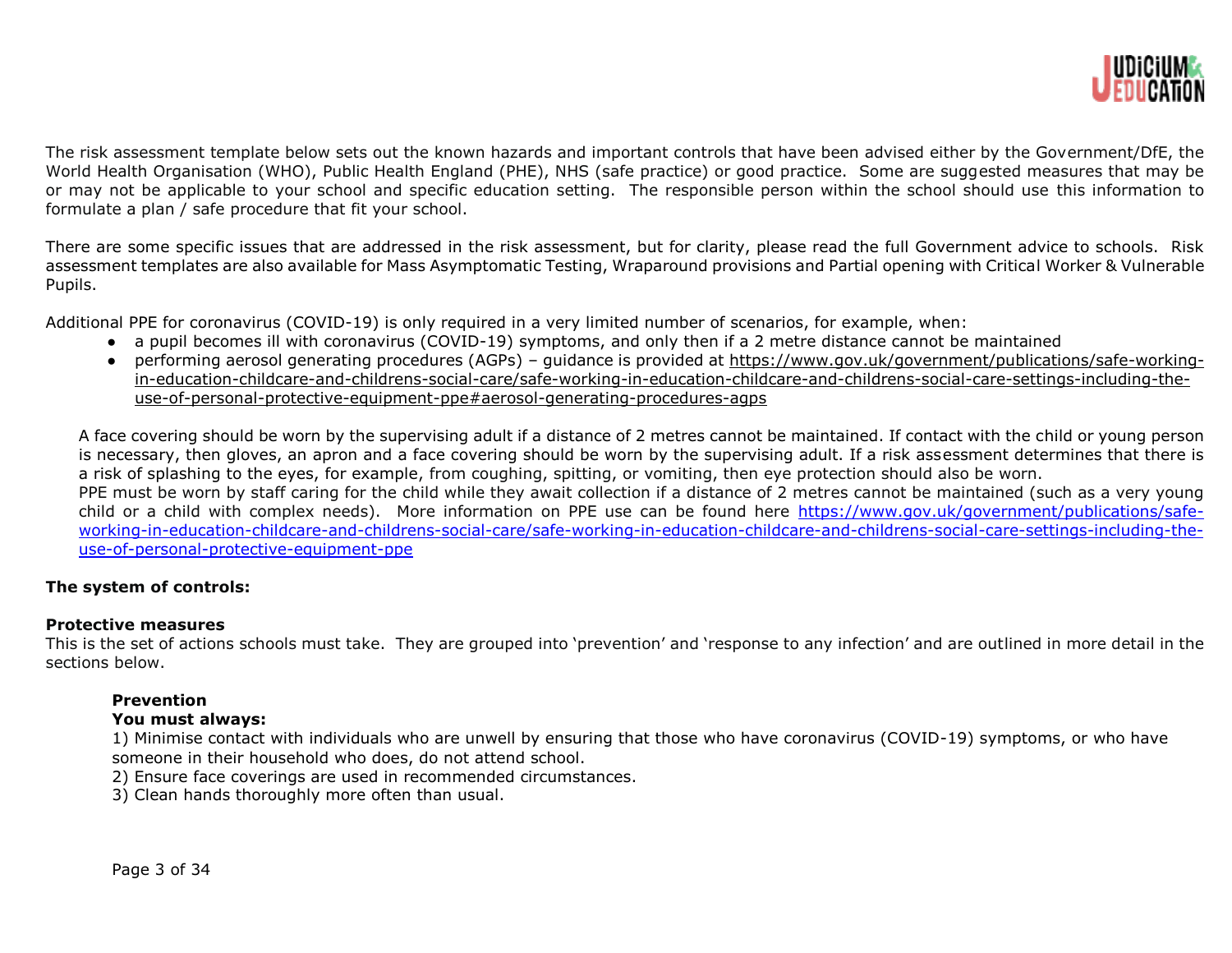

The risk assessment template below sets out the known hazards and important controls that have been advised either by the Government/DfE, the World Health Organisation (WHO), Public Health England (PHE), NHS (safe practice) or good practice. Some are suggested measures that may be or may not be applicable to your school and specific education setting. The responsible person within the school should use this information to formulate a plan / safe procedure that fit your school.

There are some specific issues that are addressed in the risk assessment, but for clarity, please read the full Government advice to schools. Risk assessment templates are also available for Mass Asymptomatic Testing, Wraparound provisions and Partial opening with Critical Worker & Vulnerable Pupils.

Additional PPE for coronavirus (COVID-19) is only required in a very limited number of scenarios, for example, when:

- a pupil becomes ill with coronavirus (COVID-19) symptoms, and only then if a 2 metre distance cannot be maintained
- performing aerosol generating procedures (AGPs) guidance is provided at [https://www.gov.uk/government/publications/safe-working](https://www.gov.uk/government/publications/safe-working-in-education-childcare-and-childrens-social-care/safe-working-in-education-childcare-and-childrens-social-care-settings-including-the-use-of-personal-protective-equipment-ppe#aerosol-generating-procedures-agps)[in-education-childcare-and-childrens-social-care/safe-working-in-education-childcare-and-childrens-social-care-settings-including-the](https://www.gov.uk/government/publications/safe-working-in-education-childcare-and-childrens-social-care/safe-working-in-education-childcare-and-childrens-social-care-settings-including-the-use-of-personal-protective-equipment-ppe#aerosol-generating-procedures-agps)[use-of-personal-protective-equipment-ppe#aerosol-generating-procedures-agps](https://www.gov.uk/government/publications/safe-working-in-education-childcare-and-childrens-social-care/safe-working-in-education-childcare-and-childrens-social-care-settings-including-the-use-of-personal-protective-equipment-ppe#aerosol-generating-procedures-agps)

A face covering should be worn by the supervising adult if a distance of 2 metres cannot be maintained. If contact with the child or young person is necessary, then gloves, an apron and a face covering should be worn by the supervising adult. If a risk assessment determines that there is a risk of splashing to the eyes, for example, from coughing, spitting, or vomiting, then eye protection should also be worn. PPE must be worn by staff caring for the child while they await collection if a distance of 2 metres cannot be maintained (such as a very young child or a child with complex needs). More information on PPE use can be found here [https://www.gov.uk/government/publications/safe](https://www.gov.uk/government/publications/safe-working-in-education-childcare-and-childrens-social-care/safe-working-in-education-childcare-and-childrens-social-care-settings-including-the-use-of-personal-protective-equipment-ppe)[working-in-education-childcare-and-childrens-social-care/safe-working-in-education-childcare-and-childrens-social-care-settings-including-the](https://www.gov.uk/government/publications/safe-working-in-education-childcare-and-childrens-social-care/safe-working-in-education-childcare-and-childrens-social-care-settings-including-the-use-of-personal-protective-equipment-ppe)[use-of-personal-protective-equipment-ppe](https://www.gov.uk/government/publications/safe-working-in-education-childcare-and-childrens-social-care/safe-working-in-education-childcare-and-childrens-social-care-settings-including-the-use-of-personal-protective-equipment-ppe)

# **The system of controls:**

#### **Protective measures**

This is the set of actions schools must take. They are grouped into 'prevention' and 'response to any infection' and are outlined in more detail in the sections below.

# **Prevention**

# **You must always:**

1) Minimise contact with individuals who are unwell by ensuring that those who have coronavirus (COVID-19) symptoms, or who have someone in their household who does, do not attend school.

2) Ensure face coverings are used in recommended circumstances.

3) Clean hands thoroughly more often than usual.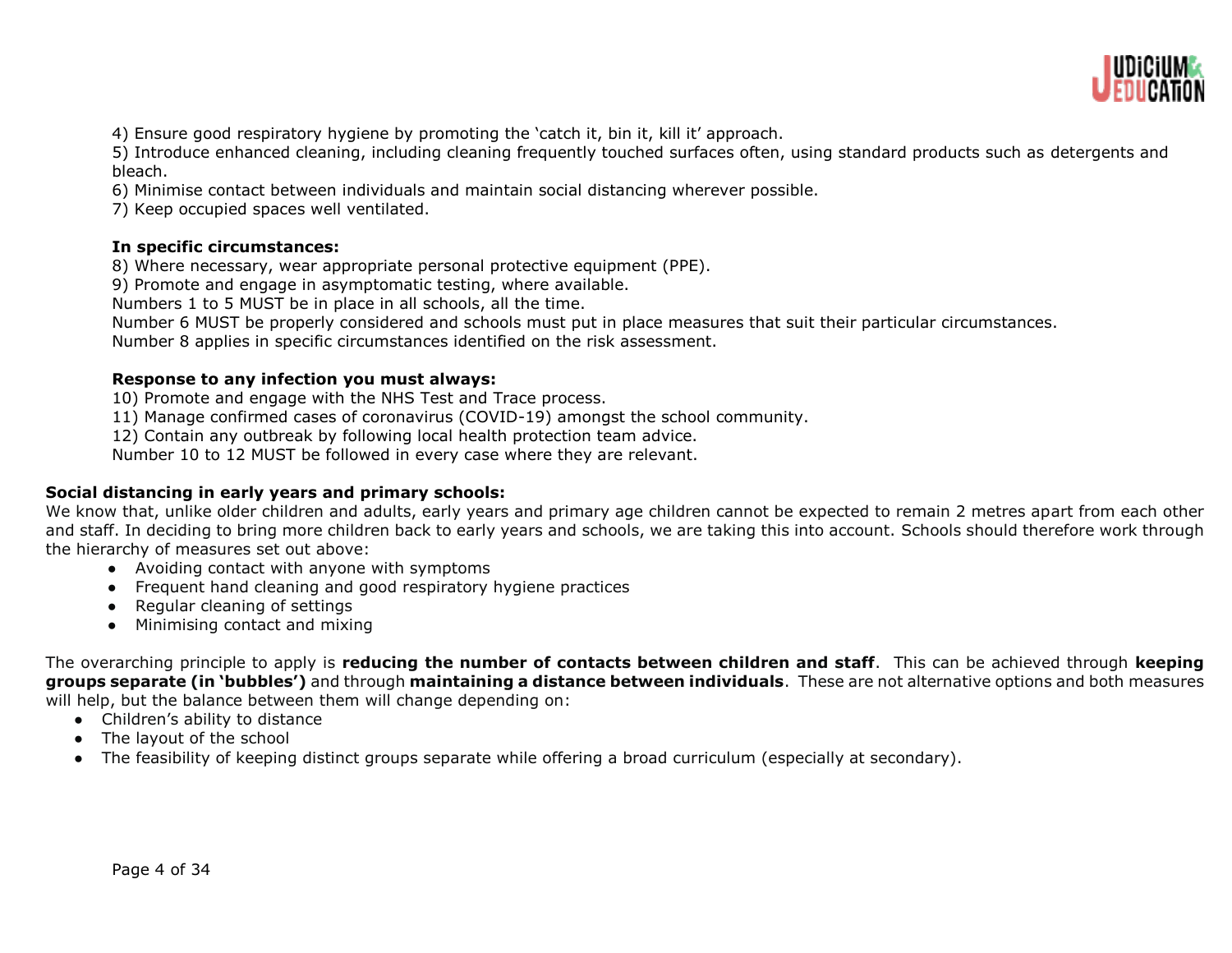

4) Ensure good respiratory hygiene by promoting the 'catch it, bin it, kill it' approach.

5) Introduce enhanced cleaning, including cleaning frequently touched surfaces often, using standard products such as detergents and bleach.

6) Minimise contact between individuals and maintain social distancing wherever possible.

7) Keep occupied spaces well ventilated.

# **In specific circumstances:**

8) Where necessary, wear appropriate personal protective equipment (PPE).

9) Promote and engage in asymptomatic testing, where available.

Numbers 1 to 5 MUST be in place in all schools, all the time.

Number 6 MUST be properly considered and schools must put in place measures that suit their particular circumstances.

Number 8 applies in specific circumstances identified on the risk assessment.

# **Response to any infection you must always:**

10) Promote and engage with the NHS Test and Trace process.

11) Manage confirmed cases of coronavirus (COVID-19) amongst the school community.

12) Contain any outbreak by following local health protection team advice.

Number 10 to 12 MUST be followed in every case where they are relevant.

# **Social distancing in early years and primary schools:**

We know that, unlike older children and adults, early years and primary age children cannot be expected to remain 2 metres apart from each other and staff. In deciding to bring more children back to early years and schools, we are taking this into account. Schools should therefore work through the hierarchy of measures set out above:

- Avoiding contact with anyone with symptoms
- Frequent hand cleaning and good respiratory hygiene practices
- Regular cleaning of settings
- Minimising contact and mixing

The overarching principle to apply is **reducing the number of contacts between children and staff**. This can be achieved through **keeping groups separate (in 'bubbles')** and through **maintaining a distance between individuals**. These are not alternative options and both measures will help, but the balance between them will change depending on:

- Children's ability to distance
- The layout of the school
- The feasibility of keeping distinct groups separate while offering a broad curriculum (especially at secondary).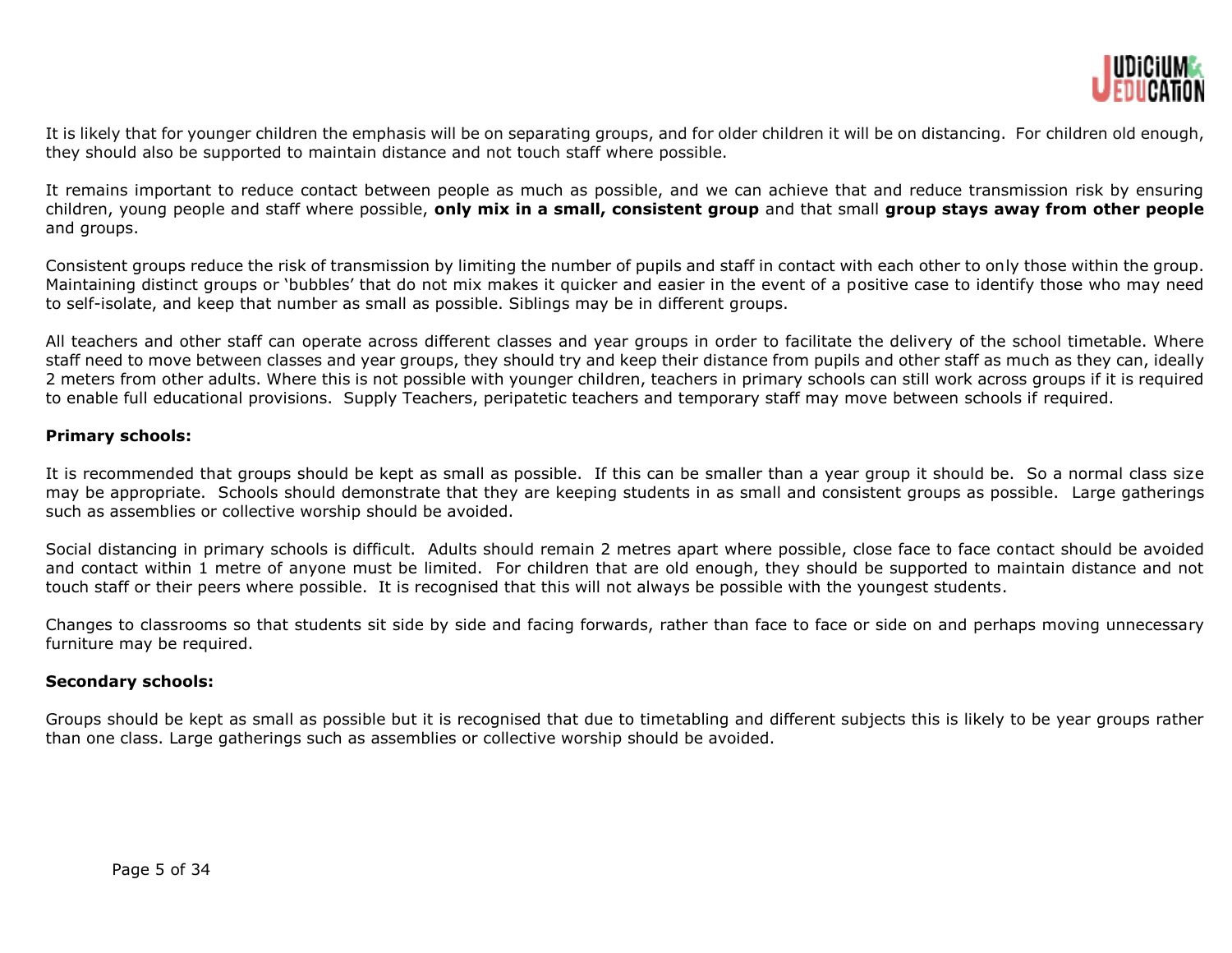

It is likely that for younger children the emphasis will be on separating groups, and for older children it will be on distancing. For children old enough, they should also be supported to maintain distance and not touch staff where possible.

It remains important to reduce contact between people as much as possible, and we can achieve that and reduce transmission risk by ensuring children, young people and staff where possible, **only mix in a small, consistent group** and that small **group stays away from other people** and groups.

Consistent groups reduce the risk of transmission by limiting the number of pupils and staff in contact with each other to only those within the group. Maintaining distinct groups or 'bubbles' that do not mix makes it quicker and easier in the event of a positive case to identify those who may need to self-isolate, and keep that number as small as possible. Siblings may be in different groups.

All teachers and other staff can operate across different classes and year groups in order to facilitate the delivery of the school timetable. Where staff need to move between classes and year groups, they should try and keep their distance from pupils and other staff as much as they can, ideally 2 meters from other adults. Where this is not possible with younger children, teachers in primary schools can still work across groups if it is required to enable full educational provisions. Supply Teachers, peripatetic teachers and temporary staff may move between schools if required.

# **Primary schools:**

It is recommended that groups should be kept as small as possible. If this can be smaller than a year group it should be. So a normal class size may be appropriate. Schools should demonstrate that they are keeping students in as small and consistent groups as possible. Large gatherings such as assemblies or collective worship should be avoided.

Social distancing in primary schools is difficult. Adults should remain 2 metres apart where possible, close face to face contact should be avoided and contact within 1 metre of anyone must be limited. For children that are old enough, they should be supported to maintain distance and not touch staff or their peers where possible. It is recognised that this will not always be possible with the youngest students.

Changes to classrooms so that students sit side by side and facing forwards, rather than face to face or side on and perhaps moving unnecessary furniture may be required.

# **Secondary schools:**

Groups should be kept as small as possible but it is recognised that due to timetabling and different subjects this is likely to be year groups rather than one class. Large gatherings such as assemblies or collective worship should be avoided.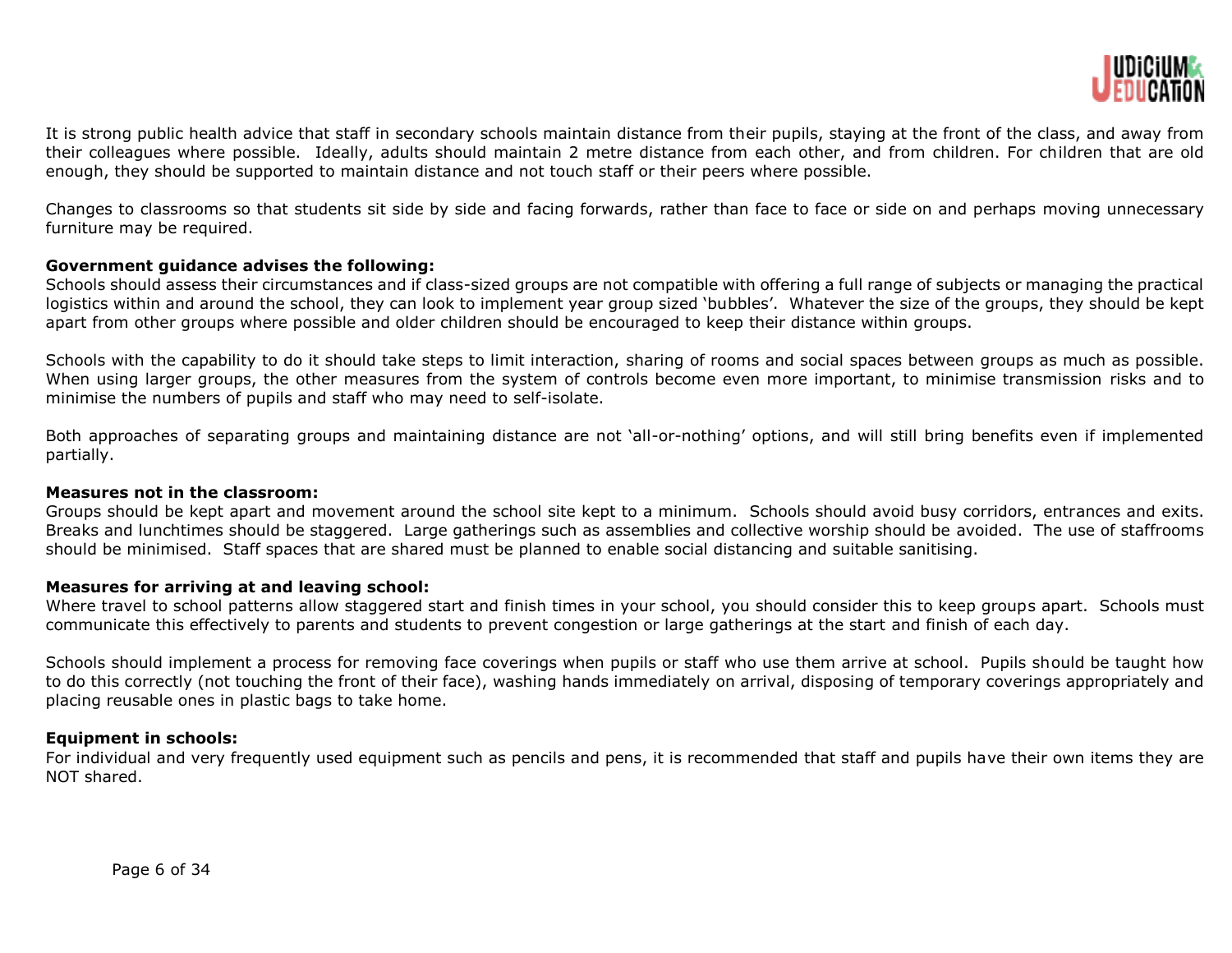

It is strong public health advice that staff in secondary schools maintain distance from their pupils, staying at the front of the class, and away from their colleagues where possible. Ideally, adults should maintain 2 metre distance from each other, and from children. For children that are old enough, they should be supported to maintain distance and not touch staff or their peers where possible.

Changes to classrooms so that students sit side by side and facing forwards, rather than face to face or side on and perhaps moving unnecessary furniture may be required.

#### **Government guidance advises the following:**

Schools should assess their circumstances and if class-sized groups are not compatible with offering a full range of subjects or managing the practical logistics within and around the school, they can look to implement year group sized 'bubbles'. Whatever the size of the groups, they should be kept apart from other groups where possible and older children should be encouraged to keep their distance within groups.

Schools with the capability to do it should take steps to limit interaction, sharing of rooms and social spaces between groups as much as possible. When using larger groups, the other measures from the system of controls become even more important, to minimise transmission risks and to minimise the numbers of pupils and staff who may need to self-isolate.

Both approaches of separating groups and maintaining distance are not 'all-or-nothing' options, and will still bring benefits even if implemented partially.

# **Measures not in the classroom:**

Groups should be kept apart and movement around the school site kept to a minimum. Schools should avoid busy corridors, entrances and exits. Breaks and lunchtimes should be staggered. Large gatherings such as assemblies and collective worship should be avoided. The use of staffrooms should be minimised. Staff spaces that are shared must be planned to enable social distancing and suitable sanitising.

#### **Measures for arriving at and leaving school:**

Where travel to school patterns allow staggered start and finish times in your school, you should consider this to keep groups apart. Schools must communicate this effectively to parents and students to prevent congestion or large gatherings at the start and finish of each day.

Schools should implement a process for removing face coverings when pupils or staff who use them arrive at school. Pupils should be taught how to do this correctly (not touching the front of their face), washing hands immediately on arrival, disposing of temporary coverings appropriately and placing reusable ones in plastic bags to take home.

#### **Equipment in schools:**

For individual and very frequently used equipment such as pencils and pens, it is recommended that staff and pupils have their own items they are NOT shared.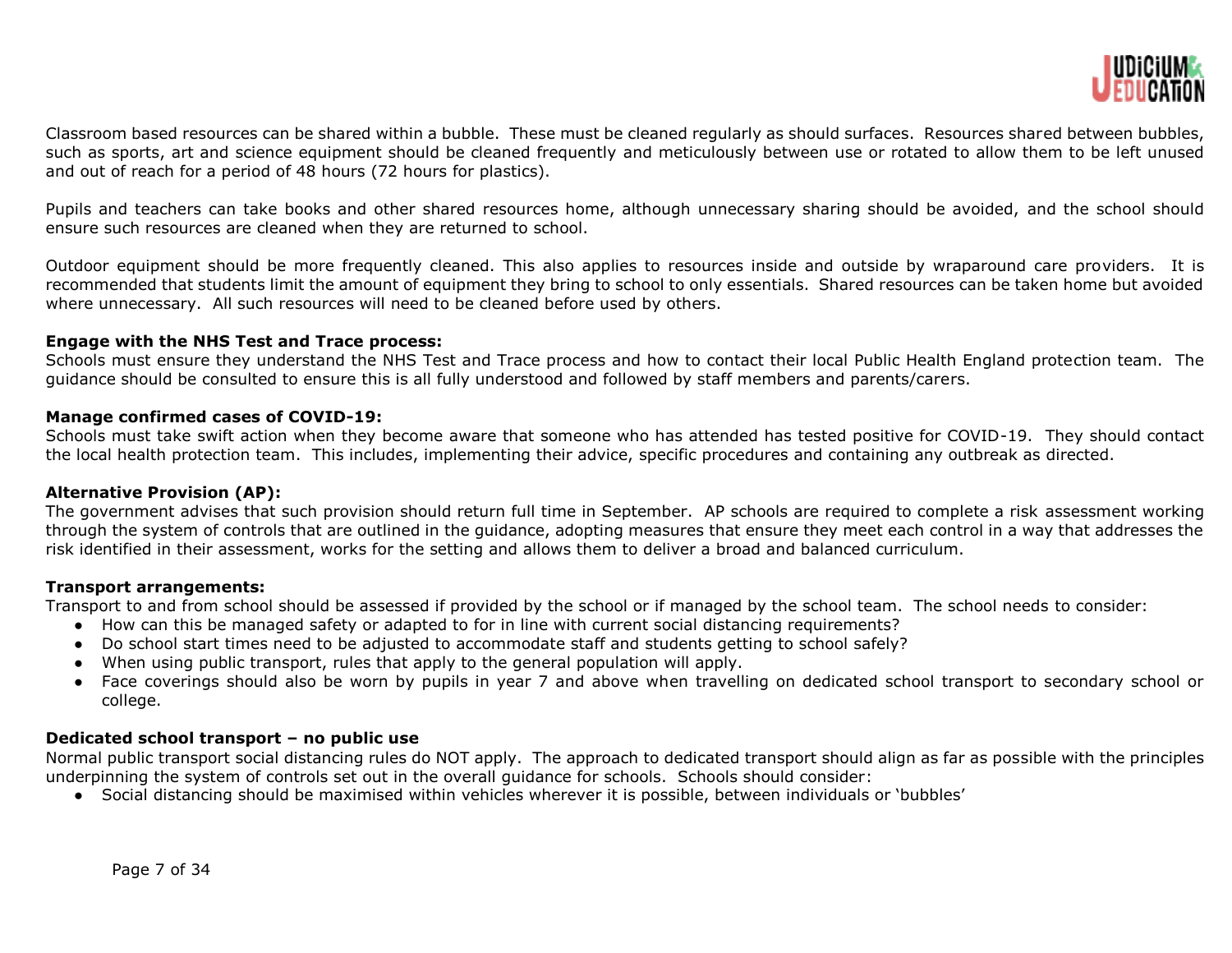

Classroom based resources can be shared within a bubble. These must be cleaned regularly as should surfaces. Resources shared between bubbles, such as sports, art and science equipment should be cleaned frequently and meticulously between use or rotated to allow them to be left unused and out of reach for a period of 48 hours (72 hours for plastics).

Pupils and teachers can take books and other shared resources home, although unnecessary sharing should be avoided, and the school should ensure such resources are cleaned when they are returned to school.

Outdoor equipment should be more frequently cleaned. This also applies to resources inside and outside by wraparound care providers. It is recommended that students limit the amount of equipment they bring to school to only essentials. Shared resources can be taken home but avoided where unnecessary. All such resources will need to be cleaned before used by others.

# **Engage with the NHS Test and Trace process:**

Schools must ensure they understand the NHS Test and Trace process and how to contact their local Public Health England protection team. The guidance should be consulted to ensure this is all fully understood and followed by staff members and parents/carers.

#### **Manage confirmed cases of COVID-19:**

Schools must take swift action when they become aware that someone who has attended has tested positive for COVID-19. They should contact the local health protection team. This includes, implementing their advice, specific procedures and containing any outbreak as directed.

# **Alternative Provision (AP):**

The government advises that such provision should return full time in September. AP schools are required to complete a risk assessment working through the system of controls that are outlined in the guidance, adopting measures that ensure they meet each control in a way that addresses the risk identified in their assessment, works for the setting and allows them to deliver a broad and balanced curriculum.

#### **Transport arrangements:**

Transport to and from school should be assessed if provided by the school or if managed by the school team. The school needs to consider:

- How can this be managed safety or adapted to for in line with current social distancing requirements?
- Do school start times need to be adjusted to accommodate staff and students getting to school safely?
- When using public transport, rules that apply to the general population will apply.
- Face coverings should also be worn by pupils in year 7 and above when travelling on dedicated school transport to secondary school or college.

# **Dedicated school transport – no public use**

Normal public transport social distancing rules do NOT apply. The approach to dedicated transport should align as far as possible with the principles underpinning the system of controls set out in the overall guidance for schools. Schools should consider:

● Social distancing should be maximised within vehicles wherever it is possible, between individuals or 'bubbles'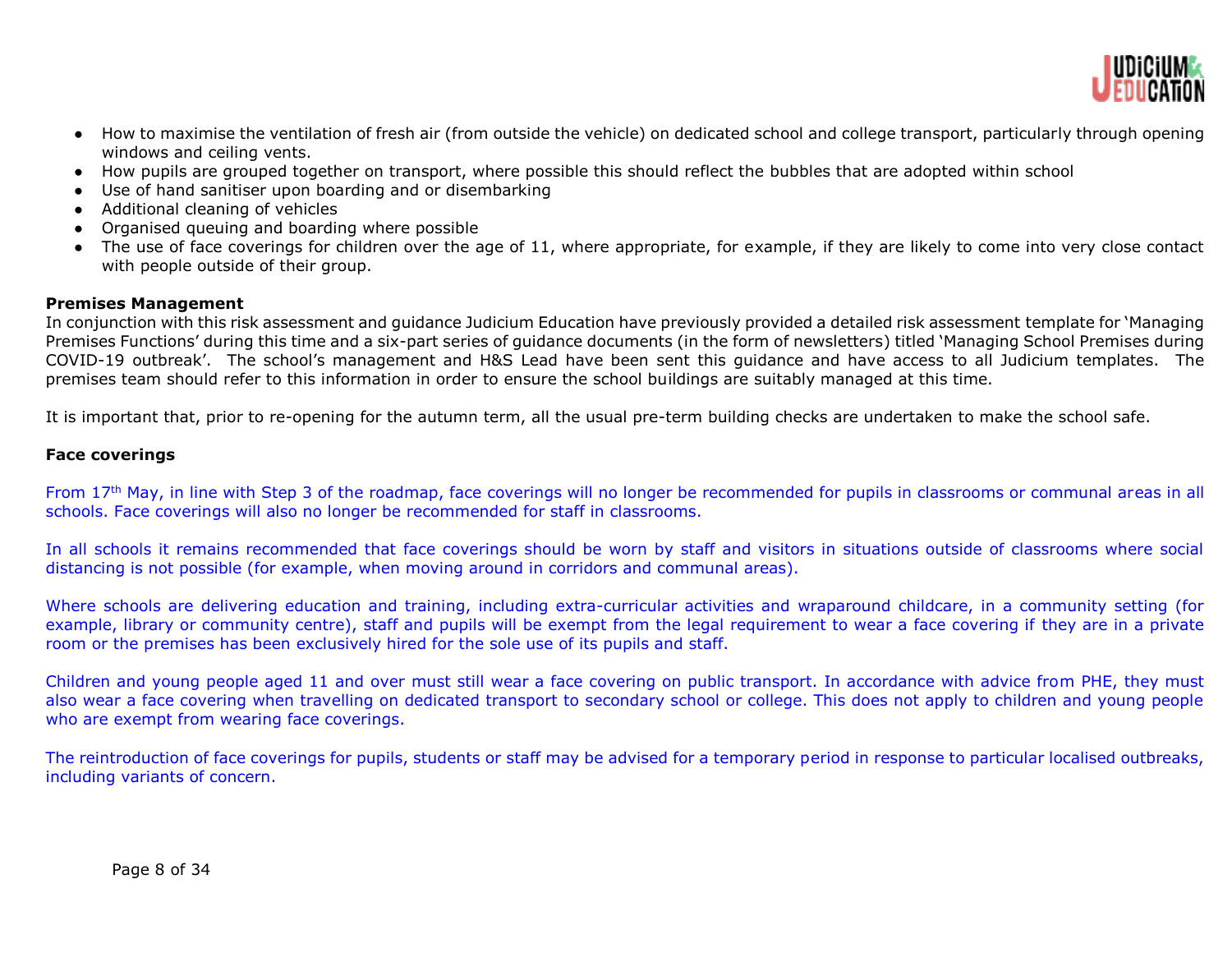

- How to maximise the ventilation of fresh air (from outside the vehicle) on dedicated school and college transport, particularly through opening windows and ceiling vents.
- How pupils are grouped together on transport, where possible this should reflect the bubbles that are adopted within school
- Use of hand sanitiser upon boarding and or disembarking
- Additional cleaning of vehicles
- Organised queuing and boarding where possible
- The use of face coverings for children over the age of 11, where appropriate, for example, if they are likely to come into very close contact with people outside of their group.

# **Premises Management**

In conjunction with this risk assessment and guidance Judicium Education have previously provided a detailed risk assessment template for 'Managing Premises Functions' during this time and a six-part series of guidance documents (in the form of newsletters) titled 'Managing School Premises during COVID-19 outbreak'. The school's management and H&S Lead have been sent this guidance and have access to all Judicium templates. The premises team should refer to this information in order to ensure the school buildings are suitably managed at this time.

It is important that, prior to re-opening for the autumn term, all the usual pre-term building checks are undertaken to make the school safe.

# **Face coverings**

From 17th May, in line with Step 3 of the roadmap, face coverings will no longer be recommended for pupils in classrooms or communal areas in all schools. Face coverings will also no longer be recommended for staff in classrooms.

In all schools it remains recommended that face coverings should be worn by staff and visitors in situations outside of classrooms where social distancing is not possible (for example, when moving around in corridors and communal areas).

Where schools are delivering education and training, including extra-curricular activities and wraparound childcare, in a community setting (for example, library or community centre), staff and pupils will be exempt from the legal requirement to wear a face covering if they are in a private room or the premises has been exclusively hired for the sole use of its pupils and staff.

Children and young people aged 11 and over must still wear a face covering on public transport. In accordance with advice from PHE, they must also wear a face covering when travelling on dedicated transport to secondary school or college. This does not apply to children and young people who are exempt from wearing face coverings.

The reintroduction of face coverings for pupils, students or staff may be advised for a temporary period in response to particular localised outbreaks, including variants of concern.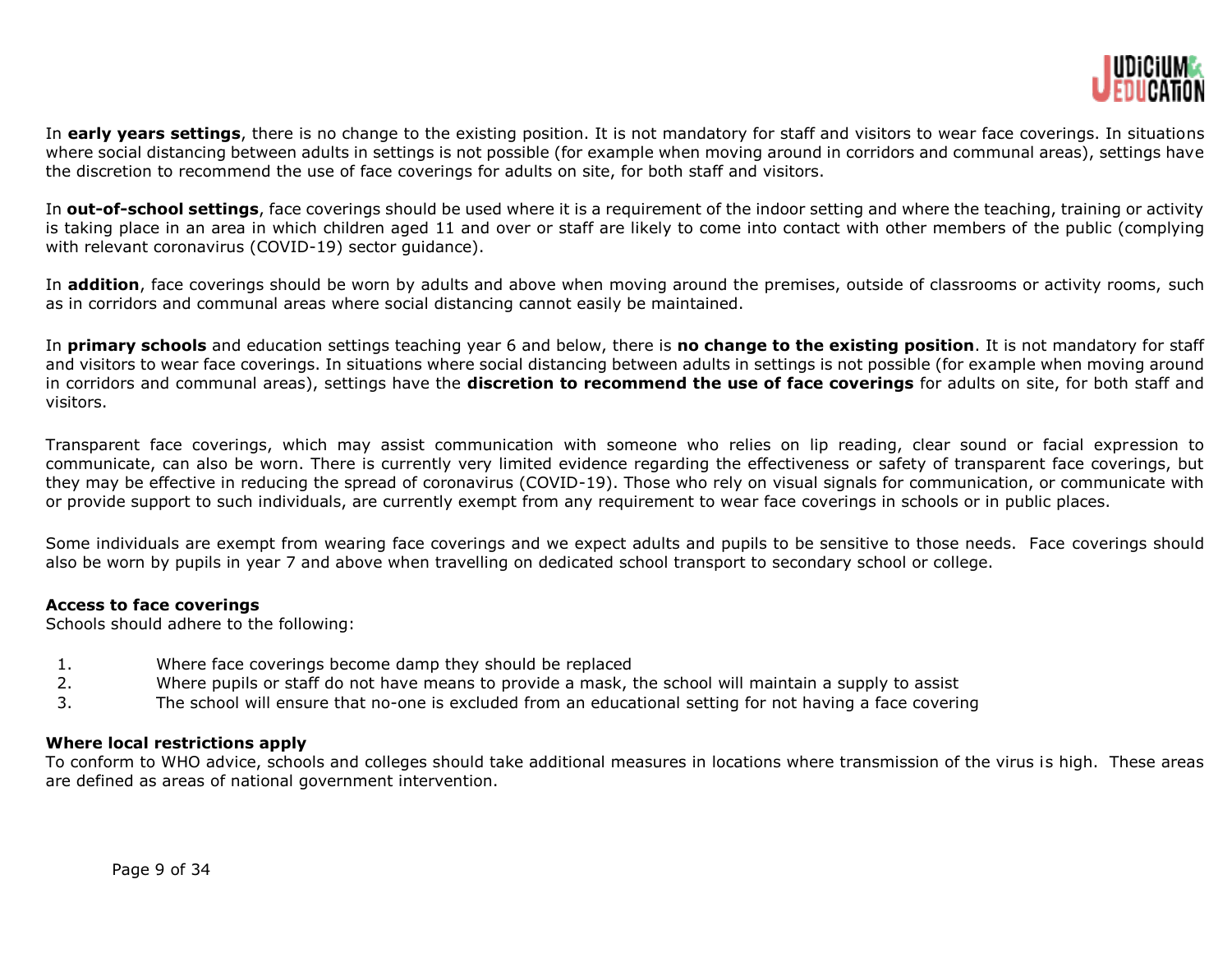

In **early years settings**, there is no change to the existing position. It is not mandatory for staff and visitors to wear face coverings. In situations where social distancing between adults in settings is not possible (for example when moving around in corridors and communal areas), settings have the discretion to recommend the use of face coverings for adults on site, for both staff and visitors.

In **out-of-school settings**, face coverings should be used where it is a requirement of the indoor setting and where the teaching, training or activity is taking place in an area in which children aged 11 and over or staff are likely to come into contact with other members of the public (complying with relevant coronavirus (COVID-19) sector quidance).

In **addition**, face coverings should be worn by adults and above when moving around the premises, outside of classrooms or activity rooms, such as in corridors and communal areas where social distancing cannot easily be maintained.

In **primary schools** and education settings teaching year 6 and below, there is **no change to the existing position**. It is not mandatory for staff and visitors to wear face coverings. In situations where social distancing between adults in settings is not possible (for example when moving around in corridors and communal areas), settings have the **discretion to recommend the use of face coverings** for adults on site, for both staff and visitors.

Transparent face coverings, which may assist communication with someone who relies on lip reading, clear sound or facial expression to communicate, can also be worn. There is currently very limited evidence regarding the effectiveness or safety of transparent face coverings, but they may be effective in reducing the spread of coronavirus (COVID-19). Those who rely on visual signals for communication, or communicate with or provide support to such individuals, are currently exempt from any requirement to wear face coverings in schools or in public places.

Some individuals are exempt from wearing face coverings and we expect adults and pupils to be sensitive to those needs. Face coverings should also be worn by pupils in year 7 and above when travelling on dedicated school transport to secondary school or college.

# **Access to face coverings**

Schools should adhere to the following:

- 1. Where face coverings become damp they should be replaced
- 2. Where pupils or staff do not have means to provide a mask, the school will maintain a supply to assist
- 3. The school will ensure that no-one is excluded from an educational setting for not having a face covering

# **Where local restrictions apply**

To conform to WHO advice, schools and colleges should take additional measures in locations where transmission of the virus is high. These areas are defined as areas of national government intervention.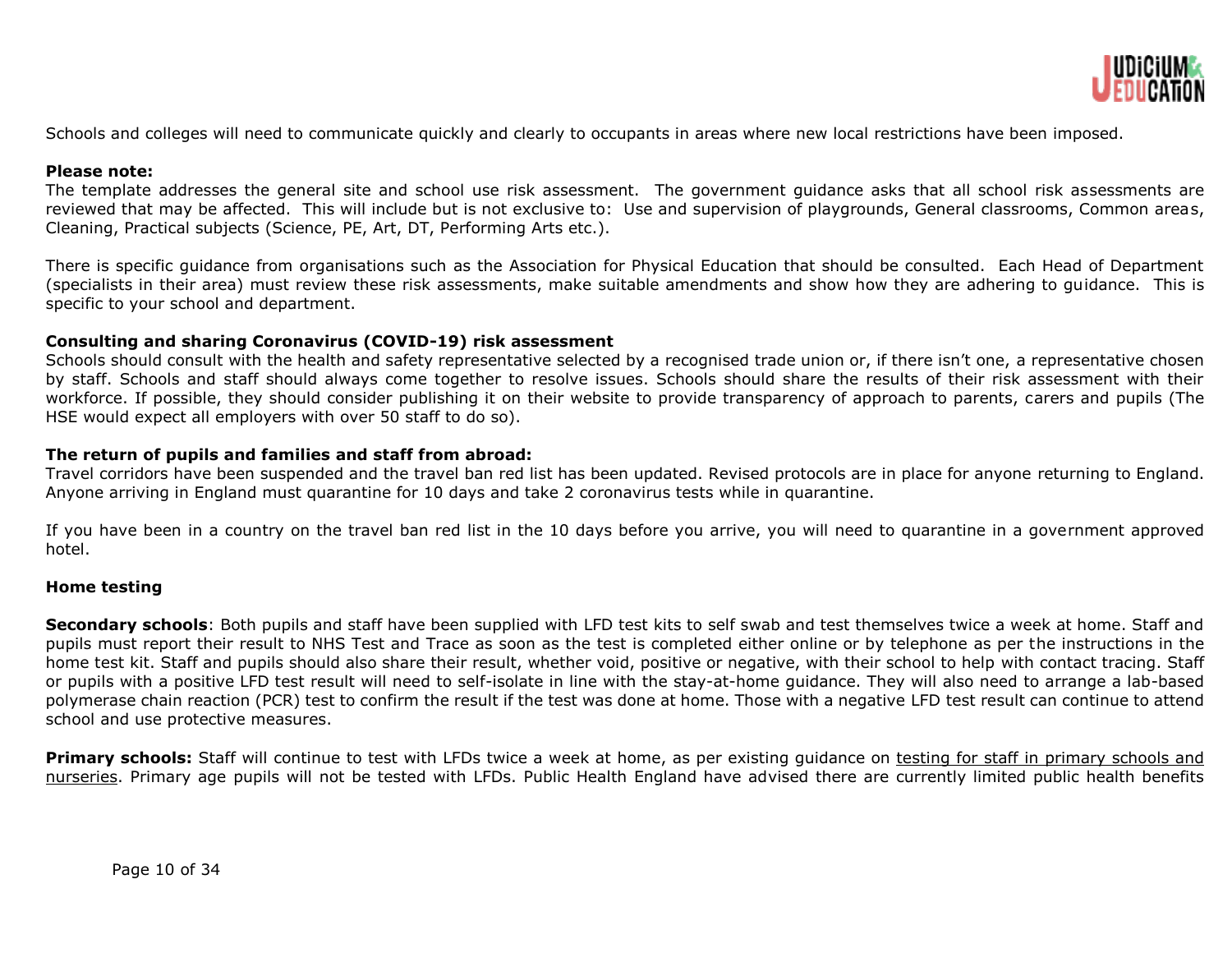

Schools and colleges will need to communicate quickly and clearly to occupants in areas where new local restrictions have been imposed.

# **Please note:**

The template addresses the general site and school use risk assessment. The government guidance asks that all school risk assessments are reviewed that may be affected. This will include but is not exclusive to: Use and supervision of playgrounds, General classrooms, Common areas, Cleaning, Practical subjects (Science, PE, Art, DT, Performing Arts etc.).

There is specific guidance from organisations such as the Association for Physical Education that should be consulted. Each Head of Department (specialists in their area) must review these risk assessments, make suitable amendments and show how they are adhering to guidance. This is specific to your school and department.

#### **Consulting and sharing Coronavirus (COVID-19) risk assessment**

Schools should consult with the health and safety representative selected by a recognised trade union or, if there isn't one, a representative chosen by staff. Schools and staff should always come together to resolve issues. Schools should share the results of their risk assessment with their workforce. If possible, they should consider publishing it on their website to provide transparency of approach to parents, carers and pupils (The HSE would expect all employers with over 50 staff to do so).

#### **The return of pupils and families and staff from abroad:**

Travel corridors have been suspended and the travel ban red list has been updated. Revised protocols are in place for anyone returning to England. Anyone arriving in England must quarantine for 10 days and take 2 coronavirus tests while in quarantine.

If you have been in a country on the travel ban red list in the 10 days before you arrive, you will need to quarantine in a government approved hotel.

#### **Home testing**

**Secondary schools**: Both pupils and staff have been supplied with LFD test kits to self swab and test themselves twice a week at home. Staff and pupils must report their result to NHS Test and Trace as soon as the test is completed either online or by telephone as per the instructions in the home test kit. Staff and pupils should also share their result, whether void, positive or negative, with their school to help with contact tracing. Staff or pupils with a positive LFD test result will need to self-isolate in line with the stay-at-home guidance. They will also need to arrange a lab-based polymerase chain reaction (PCR) test to confirm the result if the test was done at home. Those with a negative LFD test result can continue to attend school and use protective measures.

**Primary schools:** Staff will continue to test with LFDs twice a week at home, as per existing quidance on testing for staff in primary schools and [nurseries.](https://www.gov.uk/government/publications/coronavirus-covid-19-asymptomatic-testing-for-staff-in-primary-schools-and-nurseries/rapid-asymptomatic-coronavirus-covid-19-testing-for-staff-in-primary-schools-school-based-nurseries-and-maintained-nursery-schools) Primary age pupils will not be tested with LFDs. Public Health England have advised there are currently limited public health benefits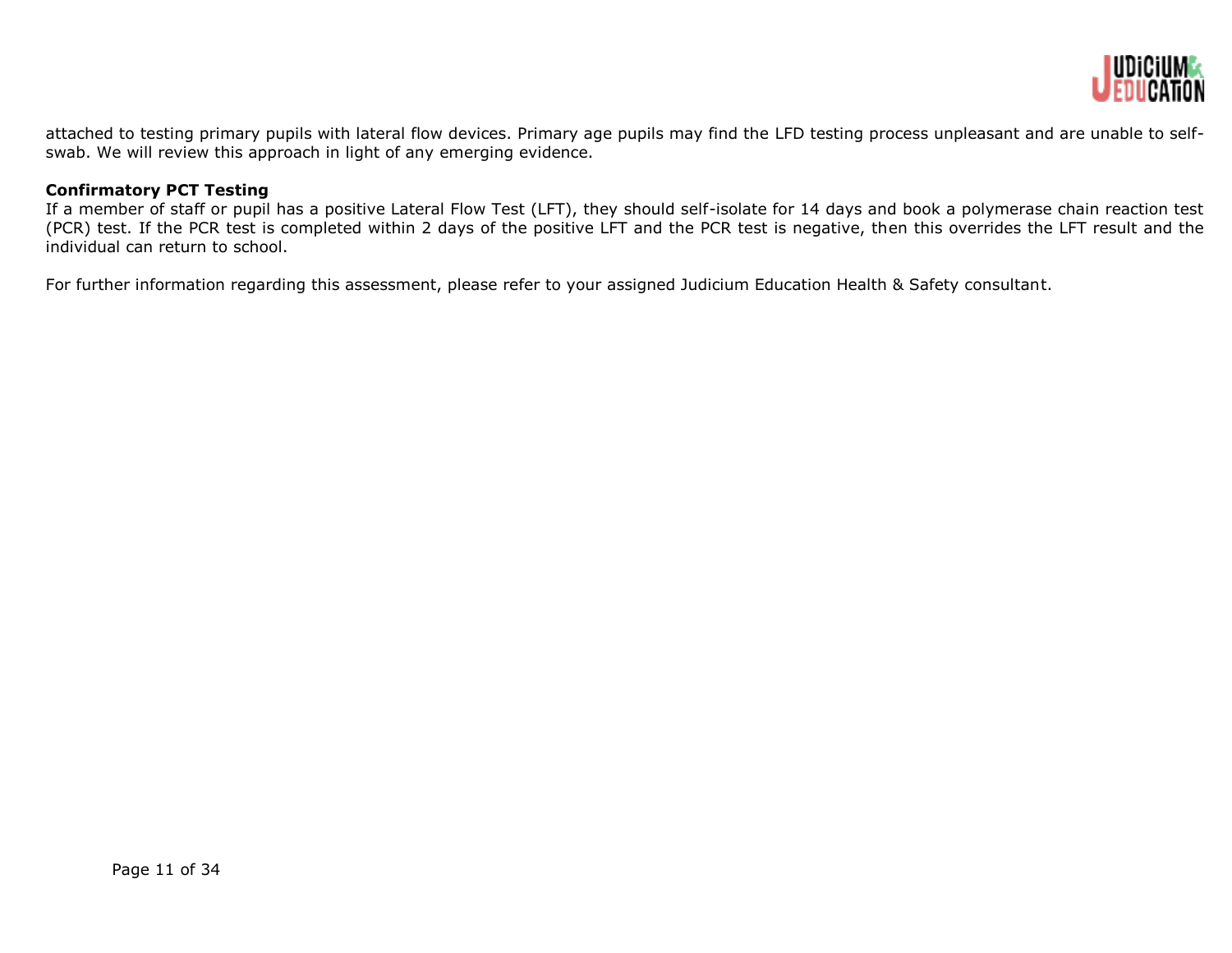

attached to testing primary pupils with lateral flow devices. Primary age pupils may find the LFD testing process unpleasant and are unable to selfswab. We will review this approach in light of any emerging evidence.

# **Confirmatory PCT Testing**

If a member of staff or pupil has a positive Lateral Flow Test (LFT), they should self-isolate for 14 days and book a polymerase chain reaction test (PCR) test. If the PCR test is completed within 2 days of the positive LFT and the PCR test is negative, then this overrides the LFT result and the individual can return to school.

For further information regarding this assessment, please refer to your assigned Judicium Education Health & Safety consultant.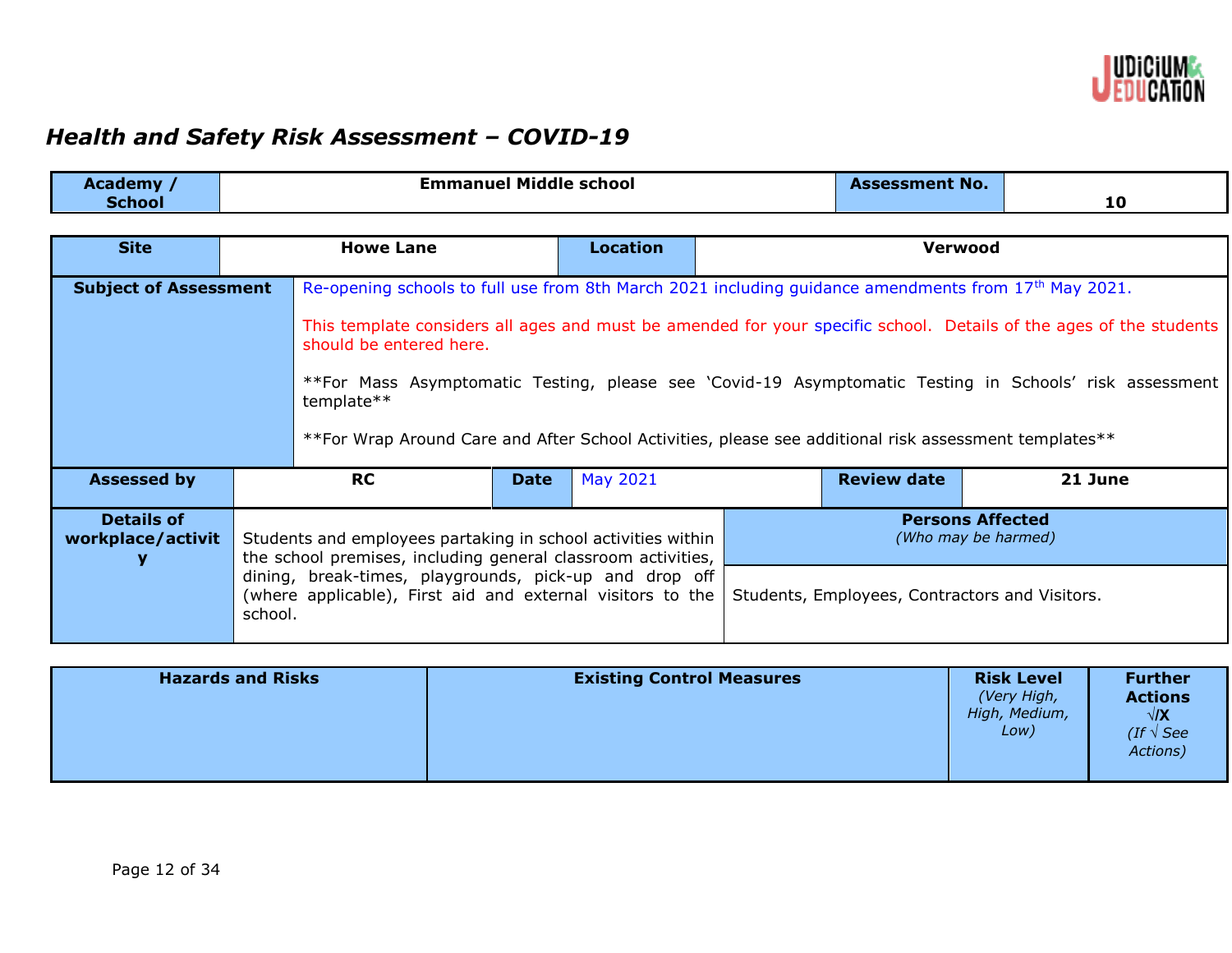

# *Health and Safety Risk Assessment – COVID-19*

| Academy /<br><b>School</b>                                                                                                                                                                                                                                                                                                                                                                                    |  |                                                                                                                                                                                                                                                                                                                                                                                                                                                                                                    |             | <b>Emmanuel Middle school</b> |  | <b>Assessment No.</b> |  | 10      |
|---------------------------------------------------------------------------------------------------------------------------------------------------------------------------------------------------------------------------------------------------------------------------------------------------------------------------------------------------------------------------------------------------------------|--|----------------------------------------------------------------------------------------------------------------------------------------------------------------------------------------------------------------------------------------------------------------------------------------------------------------------------------------------------------------------------------------------------------------------------------------------------------------------------------------------------|-------------|-------------------------------|--|-----------------------|--|---------|
| <b>Site</b>                                                                                                                                                                                                                                                                                                                                                                                                   |  | <b>Howe Lane</b>                                                                                                                                                                                                                                                                                                                                                                                                                                                                                   |             | <b>Location</b>               |  | <b>Verwood</b>        |  |         |
| <b>Subject of Assessment</b>                                                                                                                                                                                                                                                                                                                                                                                  |  | Re-opening schools to full use from 8th March 2021 including guidance amendments from 17 <sup>th</sup> May 2021.<br>This template considers all ages and must be amended for your specific school. Details of the ages of the students<br>should be entered here.<br>**For Mass Asymptomatic Testing, please see 'Covid-19 Asymptomatic Testing in Schools' risk assessment<br>template**<br>**For Wrap Around Care and After School Activities, please see additional risk assessment templates** |             |                               |  |                       |  |         |
| <b>Assessed by</b>                                                                                                                                                                                                                                                                                                                                                                                            |  | <b>RC</b>                                                                                                                                                                                                                                                                                                                                                                                                                                                                                          | <b>Date</b> | <b>May 2021</b>               |  | <b>Review date</b>    |  | 21 June |
| <b>Details of</b><br><b>Persons Affected</b><br>workplace/activit<br>Students and employees partaking in school activities within<br>(Who may be harmed)<br>the school premises, including general classroom activities,<br>dining, break-times, playgrounds, pick-up and drop off<br>(where applicable), First aid and external visitors to the<br>Students, Employees, Contractors and Visitors.<br>school. |  |                                                                                                                                                                                                                                                                                                                                                                                                                                                                                                    |             |                               |  |                       |  |         |
|                                                                                                                                                                                                                                                                                                                                                                                                               |  |                                                                                                                                                                                                                                                                                                                                                                                                                                                                                                    |             |                               |  |                       |  |         |

| <b>Hazards and Risks</b> | <b>Existing Control Measures</b> | <b>Risk Level</b><br>(Very High,<br>High, Medium,<br>Low) | <b>Further</b><br><b>Actions</b><br>$\sqrt{X}$<br>(If $\sqrt{s}$ See<br>Actions) |
|--------------------------|----------------------------------|-----------------------------------------------------------|----------------------------------------------------------------------------------|
|--------------------------|----------------------------------|-----------------------------------------------------------|----------------------------------------------------------------------------------|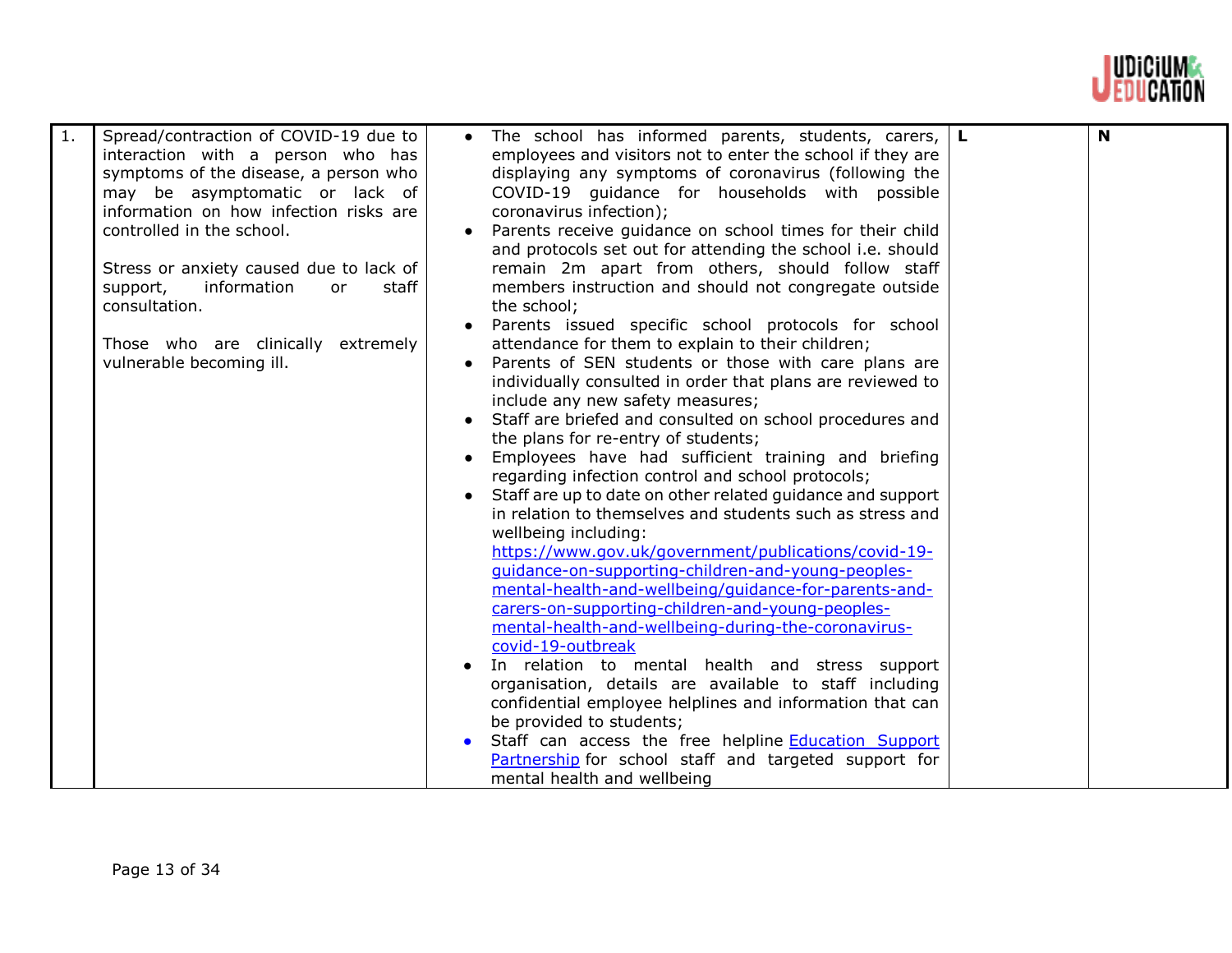

| $\mathbf{1}$ . | Spread/contraction of COVID-19 due to<br>interaction with a person who has<br>symptoms of the disease, a person who<br>may be asymptomatic or lack of<br>information on how infection risks are<br>controlled in the school.<br>Stress or anxiety caused due to lack of<br>information<br>staff<br>support,<br>or<br>consultation.<br>Those who are clinically extremely<br>vulnerable becoming ill. | • The school has informed parents, students, carers,<br>employees and visitors not to enter the school if they are<br>displaying any symptoms of coronavirus (following the<br>COVID-19 guidance for households with possible<br>coronavirus infection);<br>Parents receive guidance on school times for their child<br>and protocols set out for attending the school i.e. should<br>remain 2m apart from others, should follow staff<br>members instruction and should not congregate outside<br>the school;<br>Parents issued specific school protocols for school<br>attendance for them to explain to their children;<br>Parents of SEN students or those with care plans are<br>individually consulted in order that plans are reviewed to<br>include any new safety measures;<br>Staff are briefed and consulted on school procedures and<br>the plans for re-entry of students;<br>Employees have had sufficient training and briefing<br>regarding infection control and school protocols;<br>Staff are up to date on other related guidance and support<br>in relation to themselves and students such as stress and<br>wellbeing including:<br>https://www.gov.uk/government/publications/covid-19-<br>guidance-on-supporting-children-and-young-peoples-<br>mental-health-and-wellbeing/guidance-for-parents-and-<br>carers-on-supporting-children-and-young-peoples-<br>mental-health-and-wellbeing-during-the-coronavirus-<br>covid-19-outbreak<br>In relation to mental health and stress support<br>organisation, details are available to staff including<br>confidential employee helplines and information that can<br>be provided to students;<br>Staff can access the free helpline <b>Education Support</b><br>Partnership for school staff and targeted support for<br>mental health and wellbeing | L. | N |
|----------------|------------------------------------------------------------------------------------------------------------------------------------------------------------------------------------------------------------------------------------------------------------------------------------------------------------------------------------------------------------------------------------------------------|---------------------------------------------------------------------------------------------------------------------------------------------------------------------------------------------------------------------------------------------------------------------------------------------------------------------------------------------------------------------------------------------------------------------------------------------------------------------------------------------------------------------------------------------------------------------------------------------------------------------------------------------------------------------------------------------------------------------------------------------------------------------------------------------------------------------------------------------------------------------------------------------------------------------------------------------------------------------------------------------------------------------------------------------------------------------------------------------------------------------------------------------------------------------------------------------------------------------------------------------------------------------------------------------------------------------------------------------------------------------------------------------------------------------------------------------------------------------------------------------------------------------------------------------------------------------------------------------------------------------------------------------------------------------------------------------------------------------------------------------------------------------------------------------------------------------------|----|---|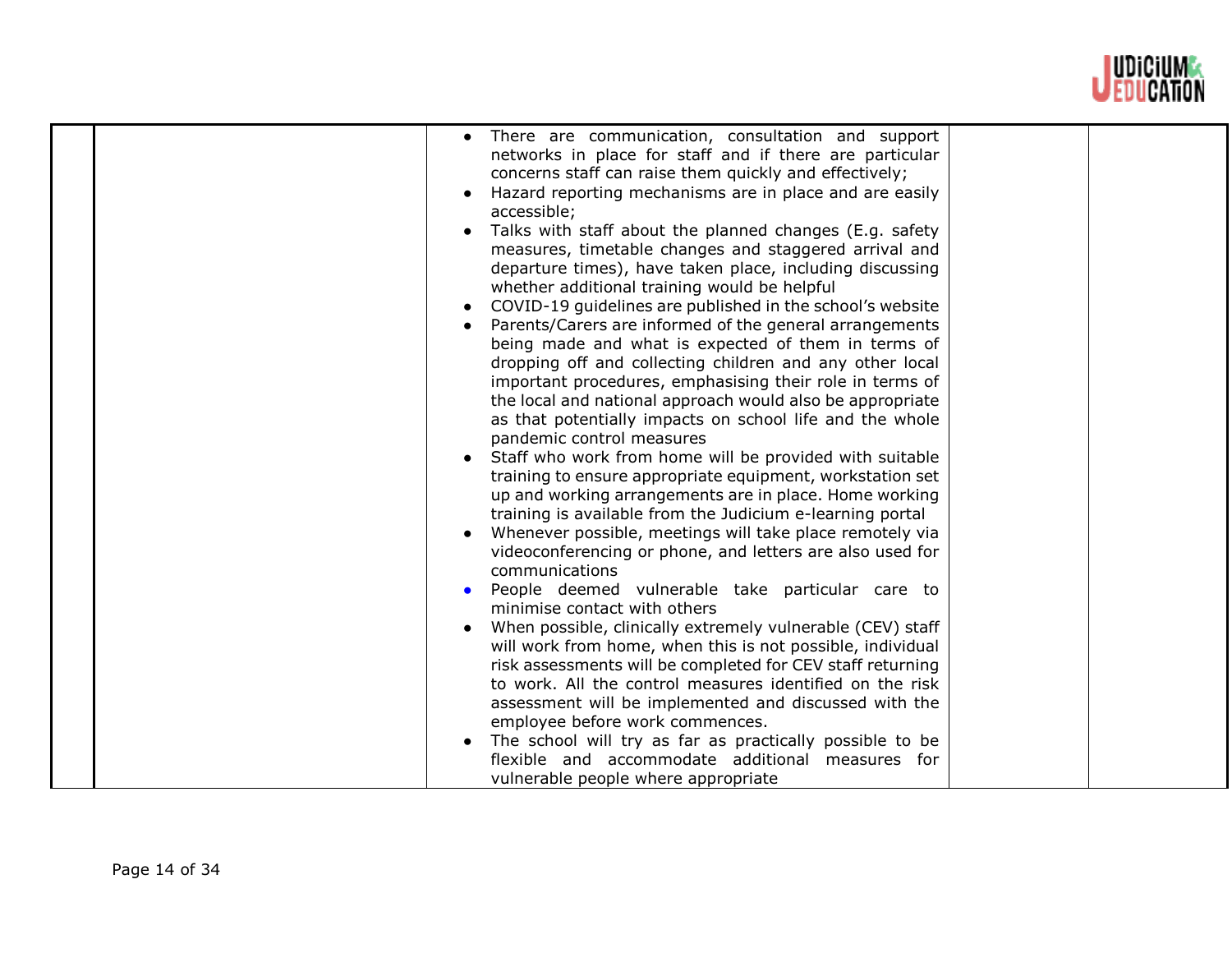

| There are communication, consultation and support<br>networks in place for staff and if there are particular<br>concerns staff can raise them quickly and effectively;<br>Hazard reporting mechanisms are in place and are easily<br>accessible;<br>Talks with staff about the planned changes (E.g. safety<br>measures, timetable changes and staggered arrival and<br>departure times), have taken place, including discussing |  |
|----------------------------------------------------------------------------------------------------------------------------------------------------------------------------------------------------------------------------------------------------------------------------------------------------------------------------------------------------------------------------------------------------------------------------------|--|
| whether additional training would be helpful                                                                                                                                                                                                                                                                                                                                                                                     |  |
| COVID-19 guidelines are published in the school's website                                                                                                                                                                                                                                                                                                                                                                        |  |
| Parents/Carers are informed of the general arrangements<br>being made and what is expected of them in terms of                                                                                                                                                                                                                                                                                                                   |  |
| dropping off and collecting children and any other local                                                                                                                                                                                                                                                                                                                                                                         |  |
| important procedures, emphasising their role in terms of                                                                                                                                                                                                                                                                                                                                                                         |  |
| the local and national approach would also be appropriate                                                                                                                                                                                                                                                                                                                                                                        |  |
| as that potentially impacts on school life and the whole                                                                                                                                                                                                                                                                                                                                                                         |  |
| pandemic control measures                                                                                                                                                                                                                                                                                                                                                                                                        |  |
| Staff who work from home will be provided with suitable                                                                                                                                                                                                                                                                                                                                                                          |  |
| training to ensure appropriate equipment, workstation set                                                                                                                                                                                                                                                                                                                                                                        |  |
| up and working arrangements are in place. Home working                                                                                                                                                                                                                                                                                                                                                                           |  |
| training is available from the Judicium e-learning portal                                                                                                                                                                                                                                                                                                                                                                        |  |
| Whenever possible, meetings will take place remotely via                                                                                                                                                                                                                                                                                                                                                                         |  |
| videoconferencing or phone, and letters are also used for                                                                                                                                                                                                                                                                                                                                                                        |  |
| communications                                                                                                                                                                                                                                                                                                                                                                                                                   |  |
| People deemed vulnerable take particular care to                                                                                                                                                                                                                                                                                                                                                                                 |  |
| minimise contact with others                                                                                                                                                                                                                                                                                                                                                                                                     |  |
| When possible, clinically extremely vulnerable (CEV) staff                                                                                                                                                                                                                                                                                                                                                                       |  |
| will work from home, when this is not possible, individual                                                                                                                                                                                                                                                                                                                                                                       |  |
| risk assessments will be completed for CEV staff returning                                                                                                                                                                                                                                                                                                                                                                       |  |
| to work. All the control measures identified on the risk                                                                                                                                                                                                                                                                                                                                                                         |  |
| assessment will be implemented and discussed with the<br>employee before work commences.                                                                                                                                                                                                                                                                                                                                         |  |
| The school will try as far as practically possible to be                                                                                                                                                                                                                                                                                                                                                                         |  |
| flexible and accommodate additional measures for                                                                                                                                                                                                                                                                                                                                                                                 |  |
| vulnerable people where appropriate                                                                                                                                                                                                                                                                                                                                                                                              |  |
|                                                                                                                                                                                                                                                                                                                                                                                                                                  |  |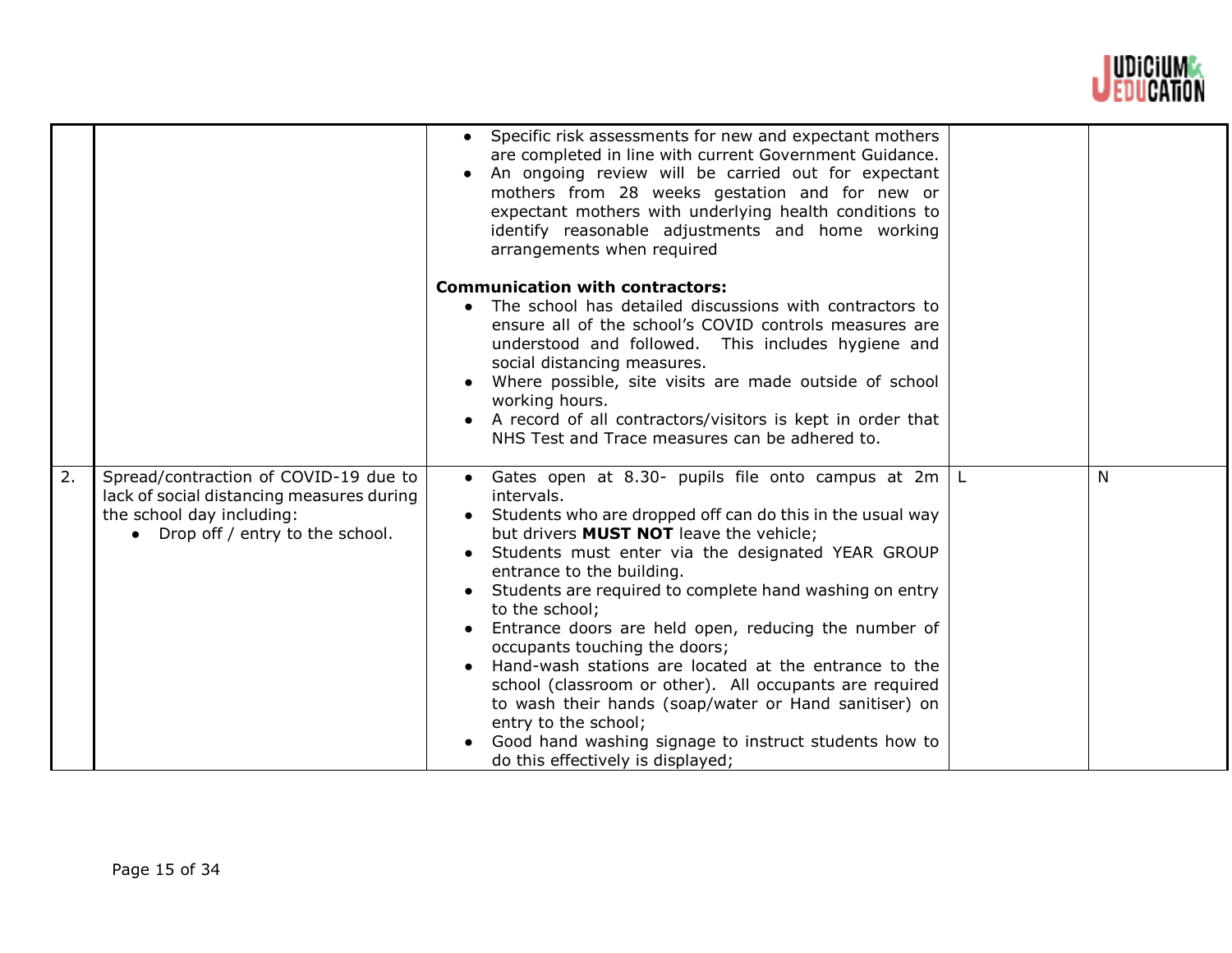

|    |                                                                                                                                                      | Specific risk assessments for new and expectant mothers<br>$\bullet$<br>are completed in line with current Government Guidance.<br>An ongoing review will be carried out for expectant<br>mothers from 28 weeks gestation and for new or<br>expectant mothers with underlying health conditions to<br>identify reasonable adjustments and home working<br>arrangements when required                                                                                                                                                                                                                                                                                                                                                                            |   |
|----|------------------------------------------------------------------------------------------------------------------------------------------------------|-----------------------------------------------------------------------------------------------------------------------------------------------------------------------------------------------------------------------------------------------------------------------------------------------------------------------------------------------------------------------------------------------------------------------------------------------------------------------------------------------------------------------------------------------------------------------------------------------------------------------------------------------------------------------------------------------------------------------------------------------------------------|---|
|    |                                                                                                                                                      | <b>Communication with contractors:</b><br>• The school has detailed discussions with contractors to<br>ensure all of the school's COVID controls measures are<br>understood and followed. This includes hygiene and<br>social distancing measures.<br>Where possible, site visits are made outside of school<br>working hours.<br>A record of all contractors/visitors is kept in order that<br>NHS Test and Trace measures can be adhered to.                                                                                                                                                                                                                                                                                                                  |   |
| 2. | Spread/contraction of COVID-19 due to<br>lack of social distancing measures during<br>the school day including:<br>• Drop off / entry to the school. | Gates open at 8.30- pupils file onto campus at $2m \mid L$<br>$\bullet$<br>intervals.<br>Students who are dropped off can do this in the usual way<br>but drivers <b>MUST NOT</b> leave the vehicle;<br>Students must enter via the designated YEAR GROUP<br>entrance to the building.<br>Students are required to complete hand washing on entry<br>to the school;<br>Entrance doors are held open, reducing the number of<br>occupants touching the doors;<br>Hand-wash stations are located at the entrance to the<br>school (classroom or other). All occupants are required<br>to wash their hands (soap/water or Hand sanitiser) on<br>entry to the school;<br>Good hand washing signage to instruct students how to<br>do this effectively is displayed; | N |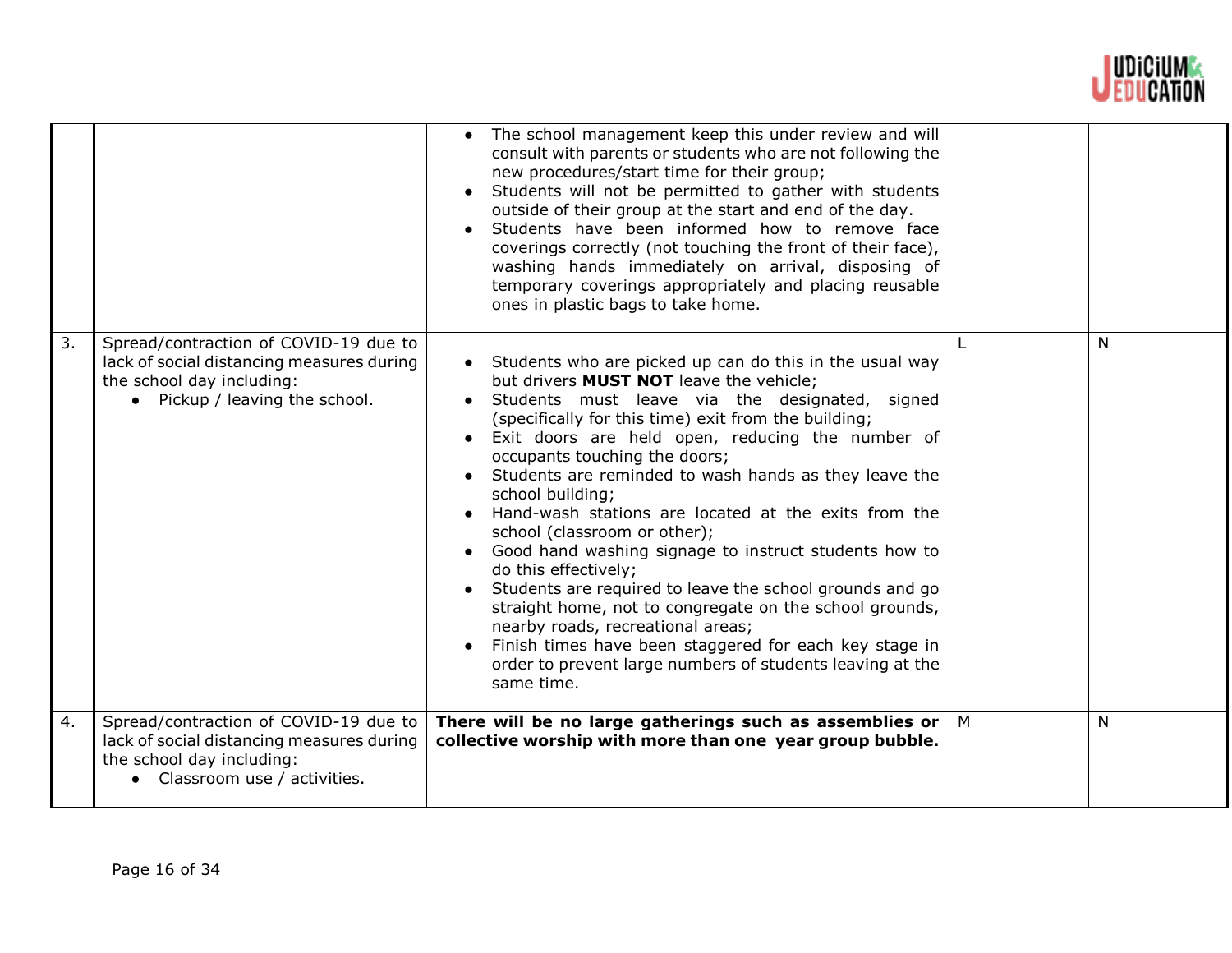

|    |                                                                                                                                                   | The school management keep this under review and will<br>consult with parents or students who are not following the<br>new procedures/start time for their group;<br>Students will not be permitted to gather with students<br>outside of their group at the start and end of the day.<br>Students have been informed how to remove face<br>coverings correctly (not touching the front of their face),<br>washing hands immediately on arrival, disposing of<br>temporary coverings appropriately and placing reusable<br>ones in plastic bags to take home.                                                                                                                                                                                                                                                                                                     |   |   |
|----|---------------------------------------------------------------------------------------------------------------------------------------------------|-------------------------------------------------------------------------------------------------------------------------------------------------------------------------------------------------------------------------------------------------------------------------------------------------------------------------------------------------------------------------------------------------------------------------------------------------------------------------------------------------------------------------------------------------------------------------------------------------------------------------------------------------------------------------------------------------------------------------------------------------------------------------------------------------------------------------------------------------------------------|---|---|
| 3. | Spread/contraction of COVID-19 due to<br>lack of social distancing measures during<br>the school day including:<br>• Pickup / leaving the school. | • Students who are picked up can do this in the usual way<br>but drivers <b>MUST NOT</b> leave the vehicle;<br>Students must leave via the designated, signed<br>(specifically for this time) exit from the building;<br>Exit doors are held open, reducing the number of<br>occupants touching the doors;<br>Students are reminded to wash hands as they leave the<br>school building;<br>Hand-wash stations are located at the exits from the<br>school (classroom or other);<br>Good hand washing signage to instruct students how to<br>do this effectively;<br>Students are required to leave the school grounds and go<br>straight home, not to congregate on the school grounds,<br>nearby roads, recreational areas;<br>Finish times have been staggered for each key stage in<br>order to prevent large numbers of students leaving at the<br>same time. |   | N |
| 4. | Spread/contraction of COVID-19 due to<br>lack of social distancing measures during<br>the school day including:<br>• Classroom use / activities.  | There will be no large gatherings such as assemblies or<br>collective worship with more than one year group bubble.                                                                                                                                                                                                                                                                                                                                                                                                                                                                                                                                                                                                                                                                                                                                               | M | N |
|    |                                                                                                                                                   |                                                                                                                                                                                                                                                                                                                                                                                                                                                                                                                                                                                                                                                                                                                                                                                                                                                                   |   |   |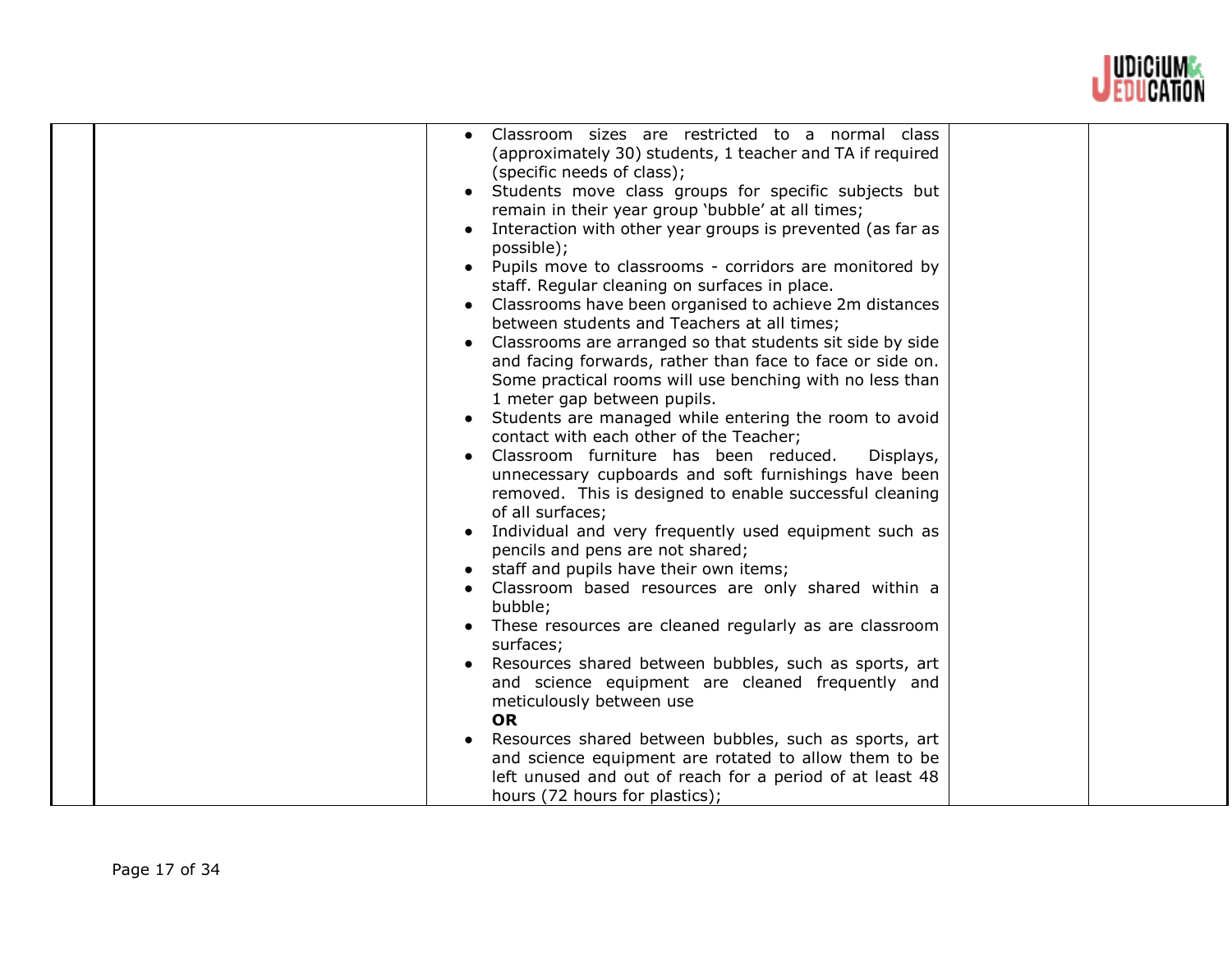

| Classroom sizes are restricted to a normal class<br>(approximately 30) students, 1 teacher and TA if required<br>(specific needs of class);<br>Students move class groups for specific subjects but<br>remain in their year group 'bubble' at all times;<br>Interaction with other year groups is prevented (as far as<br>possible);<br>Pupils move to classrooms - corridors are monitored by<br>staff. Regular cleaning on surfaces in place.<br>Classrooms have been organised to achieve 2m distances<br>between students and Teachers at all times;<br>Classrooms are arranged so that students sit side by side<br>and facing forwards, rather than face to face or side on.<br>Some practical rooms will use benching with no less than<br>1 meter gap between pupils.<br>Students are managed while entering the room to avoid<br>contact with each other of the Teacher;<br>Classroom furniture has been reduced.<br>Displays,<br>unnecessary cupboards and soft furnishings have been<br>removed. This is designed to enable successful cleaning<br>of all surfaces;<br>Individual and very frequently used equipment such as<br>pencils and pens are not shared;<br>staff and pupils have their own items;<br>Classroom based resources are only shared within a<br>bubble;<br>These resources are cleaned regularly as are classroom<br>surfaces;<br>Resources shared between bubbles, such as sports, art<br>and science equipment are cleaned frequently and<br>meticulously between use<br><b>OR</b><br>Resources shared between bubbles, such as sports, art<br>and science equipment are rotated to allow them to be |  |  |
|---------------------------------------------------------------------------------------------------------------------------------------------------------------------------------------------------------------------------------------------------------------------------------------------------------------------------------------------------------------------------------------------------------------------------------------------------------------------------------------------------------------------------------------------------------------------------------------------------------------------------------------------------------------------------------------------------------------------------------------------------------------------------------------------------------------------------------------------------------------------------------------------------------------------------------------------------------------------------------------------------------------------------------------------------------------------------------------------------------------------------------------------------------------------------------------------------------------------------------------------------------------------------------------------------------------------------------------------------------------------------------------------------------------------------------------------------------------------------------------------------------------------------------------------------------------------------------------------------------------------------------------|--|--|
|---------------------------------------------------------------------------------------------------------------------------------------------------------------------------------------------------------------------------------------------------------------------------------------------------------------------------------------------------------------------------------------------------------------------------------------------------------------------------------------------------------------------------------------------------------------------------------------------------------------------------------------------------------------------------------------------------------------------------------------------------------------------------------------------------------------------------------------------------------------------------------------------------------------------------------------------------------------------------------------------------------------------------------------------------------------------------------------------------------------------------------------------------------------------------------------------------------------------------------------------------------------------------------------------------------------------------------------------------------------------------------------------------------------------------------------------------------------------------------------------------------------------------------------------------------------------------------------------------------------------------------------|--|--|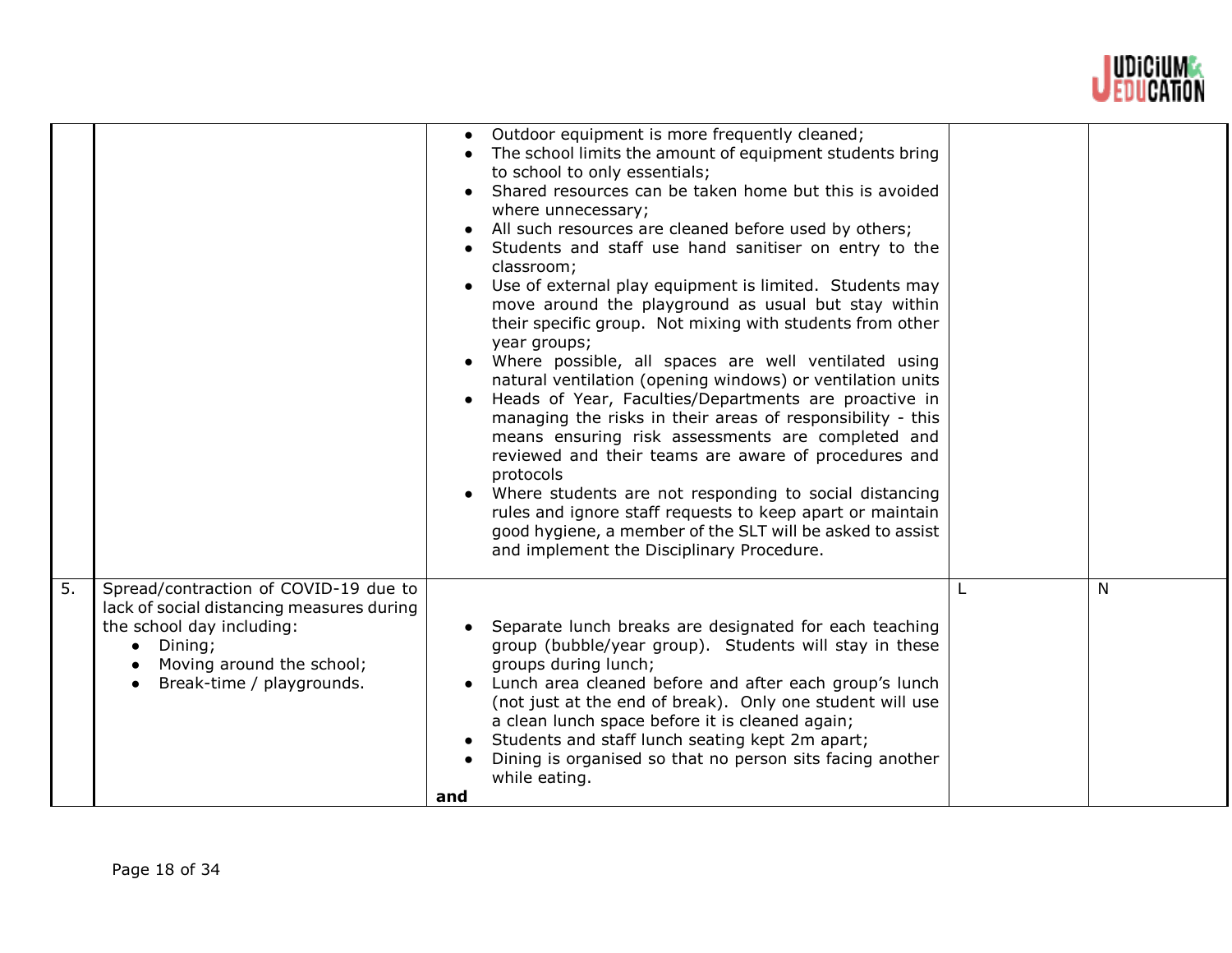

|    |                                                                                                                                                                                                   | Outdoor equipment is more frequently cleaned;<br>The school limits the amount of equipment students bring<br>to school to only essentials;<br>Shared resources can be taken home but this is avoided<br>where unnecessary;<br>All such resources are cleaned before used by others;<br>Students and staff use hand sanitiser on entry to the<br>classroom;<br>Use of external play equipment is limited. Students may<br>move around the playground as usual but stay within<br>their specific group. Not mixing with students from other<br>year groups;<br>Where possible, all spaces are well ventilated using<br>natural ventilation (opening windows) or ventilation units<br>Heads of Year, Faculties/Departments are proactive in<br>managing the risks in their areas of responsibility - this<br>means ensuring risk assessments are completed and<br>reviewed and their teams are aware of procedures and<br>protocols<br>Where students are not responding to social distancing<br>rules and ignore staff requests to keep apart or maintain<br>good hygiene, a member of the SLT will be asked to assist<br>and implement the Disciplinary Procedure. |   |
|----|---------------------------------------------------------------------------------------------------------------------------------------------------------------------------------------------------|-------------------------------------------------------------------------------------------------------------------------------------------------------------------------------------------------------------------------------------------------------------------------------------------------------------------------------------------------------------------------------------------------------------------------------------------------------------------------------------------------------------------------------------------------------------------------------------------------------------------------------------------------------------------------------------------------------------------------------------------------------------------------------------------------------------------------------------------------------------------------------------------------------------------------------------------------------------------------------------------------------------------------------------------------------------------------------------------------------------------------------------------------------------------|---|
| 5. | Spread/contraction of COVID-19 due to<br>lack of social distancing measures during<br>the school day including:<br>Dining;<br>$\bullet$<br>Moving around the school;<br>Break-time / playgrounds. | Separate lunch breaks are designated for each teaching<br>group (bubble/year group). Students will stay in these<br>groups during lunch;<br>Lunch area cleaned before and after each group's lunch<br>(not just at the end of break). Only one student will use<br>a clean lunch space before it is cleaned again;<br>Students and staff lunch seating kept 2m apart;<br>Dining is organised so that no person sits facing another<br>while eating.<br>and                                                                                                                                                                                                                                                                                                                                                                                                                                                                                                                                                                                                                                                                                                        | N |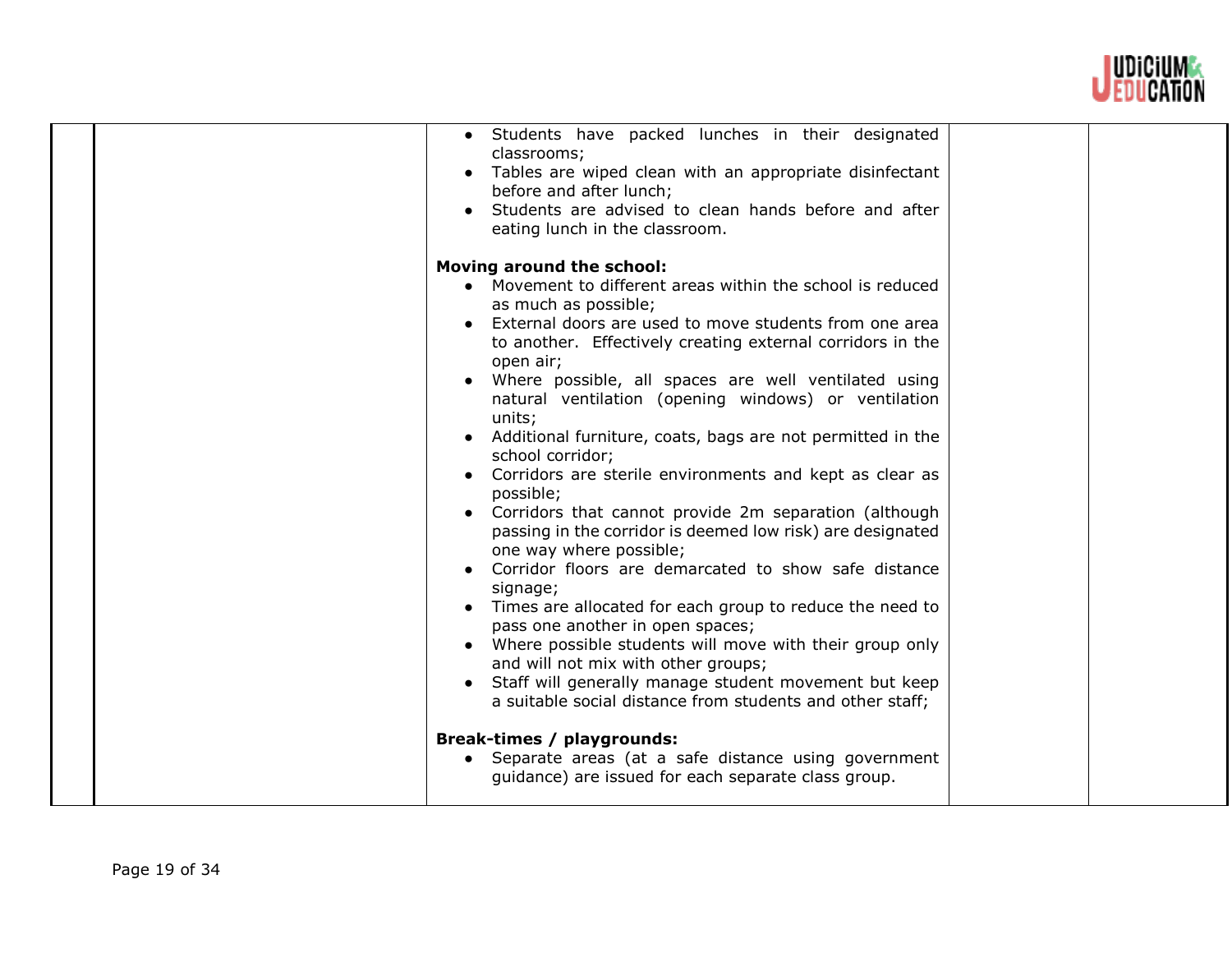

|  | Students have packed lunches in their designated<br>classrooms;<br>Tables are wiped clean with an appropriate disinfectant<br>before and after lunch;<br>Students are advised to clean hands before and after<br>eating lunch in the classroom.<br>Moving around the school: |  |
|--|------------------------------------------------------------------------------------------------------------------------------------------------------------------------------------------------------------------------------------------------------------------------------|--|
|  | • Movement to different areas within the school is reduced                                                                                                                                                                                                                   |  |
|  | as much as possible;                                                                                                                                                                                                                                                         |  |
|  | External doors are used to move students from one area                                                                                                                                                                                                                       |  |
|  | to another. Effectively creating external corridors in the                                                                                                                                                                                                                   |  |
|  |                                                                                                                                                                                                                                                                              |  |
|  | open air;                                                                                                                                                                                                                                                                    |  |
|  | Where possible, all spaces are well ventilated using                                                                                                                                                                                                                         |  |
|  | natural ventilation (opening windows) or ventilation                                                                                                                                                                                                                         |  |
|  | units:                                                                                                                                                                                                                                                                       |  |
|  | Additional furniture, coats, bags are not permitted in the                                                                                                                                                                                                                   |  |
|  | school corridor;                                                                                                                                                                                                                                                             |  |
|  | Corridors are sterile environments and kept as clear as                                                                                                                                                                                                                      |  |
|  | possible;                                                                                                                                                                                                                                                                    |  |
|  | Corridors that cannot provide 2m separation (although                                                                                                                                                                                                                        |  |
|  | passing in the corridor is deemed low risk) are designated                                                                                                                                                                                                                   |  |
|  | one way where possible;                                                                                                                                                                                                                                                      |  |
|  | Corridor floors are demarcated to show safe distance                                                                                                                                                                                                                         |  |
|  | signage;                                                                                                                                                                                                                                                                     |  |
|  | Times are allocated for each group to reduce the need to                                                                                                                                                                                                                     |  |
|  | pass one another in open spaces;                                                                                                                                                                                                                                             |  |
|  | Where possible students will move with their group only                                                                                                                                                                                                                      |  |
|  | and will not mix with other groups;                                                                                                                                                                                                                                          |  |
|  | Staff will generally manage student movement but keep<br>$\bullet$                                                                                                                                                                                                           |  |
|  | a suitable social distance from students and other staff;                                                                                                                                                                                                                    |  |
|  |                                                                                                                                                                                                                                                                              |  |
|  |                                                                                                                                                                                                                                                                              |  |
|  | Break-times / playgrounds:                                                                                                                                                                                                                                                   |  |
|  | • Separate areas (at a safe distance using government                                                                                                                                                                                                                        |  |
|  | guidance) are issued for each separate class group.                                                                                                                                                                                                                          |  |
|  |                                                                                                                                                                                                                                                                              |  |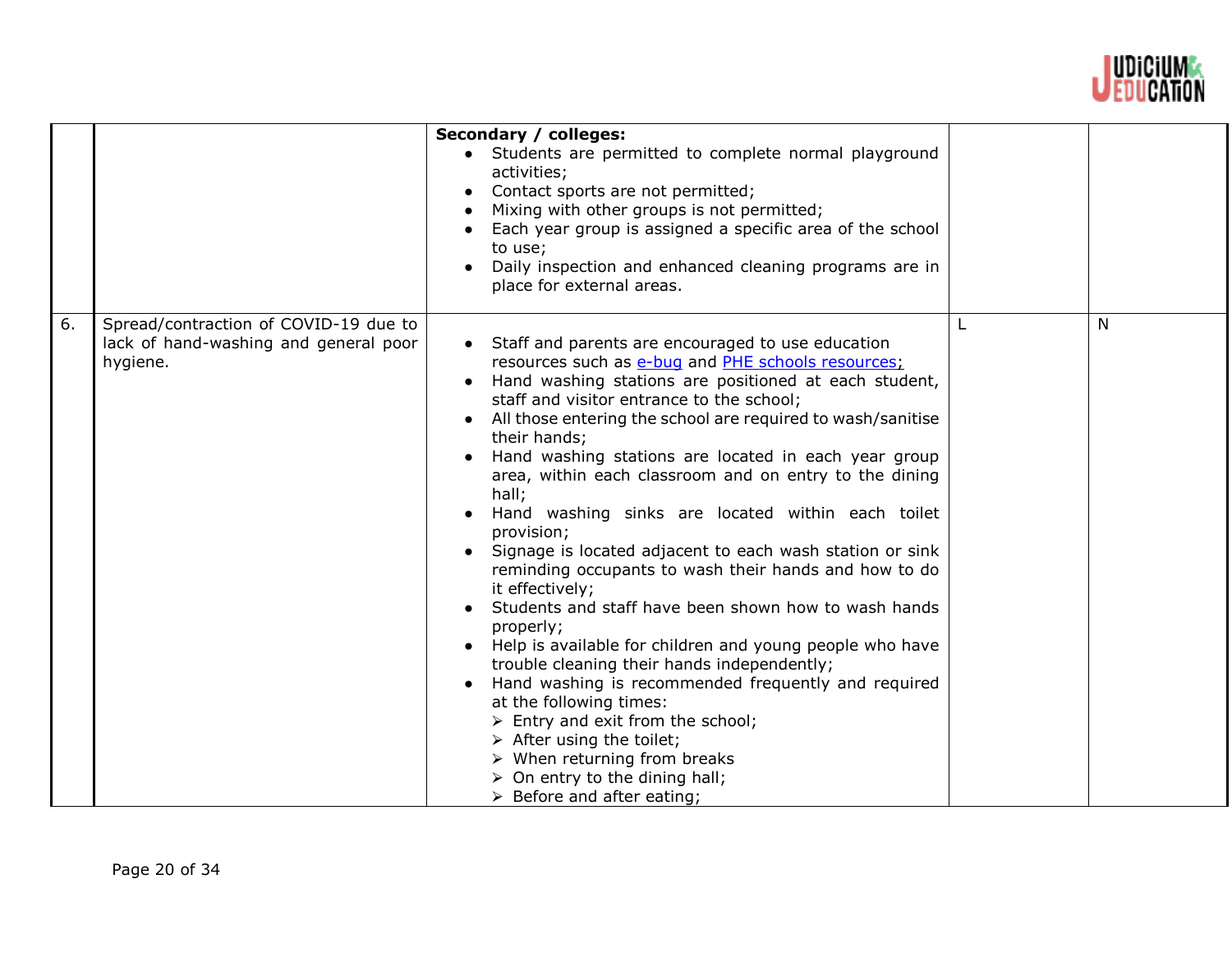

|    |                                                                                            | Secondary / colleges:<br>• Students are permitted to complete normal playground<br>activities;<br>Contact sports are not permitted;<br>Mixing with other groups is not permitted;<br>Each year group is assigned a specific area of the school<br>to use;<br>Daily inspection and enhanced cleaning programs are in<br>place for external areas.                                                                                                                                                                                                                                                                                                                                                                                                                                                                                                                                                                                                                                                                                                                                                                                                    |   |
|----|--------------------------------------------------------------------------------------------|-----------------------------------------------------------------------------------------------------------------------------------------------------------------------------------------------------------------------------------------------------------------------------------------------------------------------------------------------------------------------------------------------------------------------------------------------------------------------------------------------------------------------------------------------------------------------------------------------------------------------------------------------------------------------------------------------------------------------------------------------------------------------------------------------------------------------------------------------------------------------------------------------------------------------------------------------------------------------------------------------------------------------------------------------------------------------------------------------------------------------------------------------------|---|
| 6. | Spread/contraction of COVID-19 due to<br>lack of hand-washing and general poor<br>hygiene. | • Staff and parents are encouraged to use education<br>resources such as e-bug and PHE schools resources;<br>Hand washing stations are positioned at each student,<br>staff and visitor entrance to the school;<br>All those entering the school are required to wash/sanitise<br>their hands;<br>Hand washing stations are located in each year group<br>area, within each classroom and on entry to the dining<br>hall;<br>Hand washing sinks are located within each toilet<br>provision;<br>Signage is located adjacent to each wash station or sink<br>reminding occupants to wash their hands and how to do<br>it effectively;<br>Students and staff have been shown how to wash hands<br>properly;<br>Help is available for children and young people who have<br>trouble cleaning their hands independently;<br>Hand washing is recommended frequently and required<br>at the following times:<br>$\triangleright$ Entry and exit from the school;<br>$\triangleright$ After using the toilet;<br>$\triangleright$ When returning from breaks<br>$\triangleright$ On entry to the dining hall;<br>$\triangleright$ Before and after eating; | N |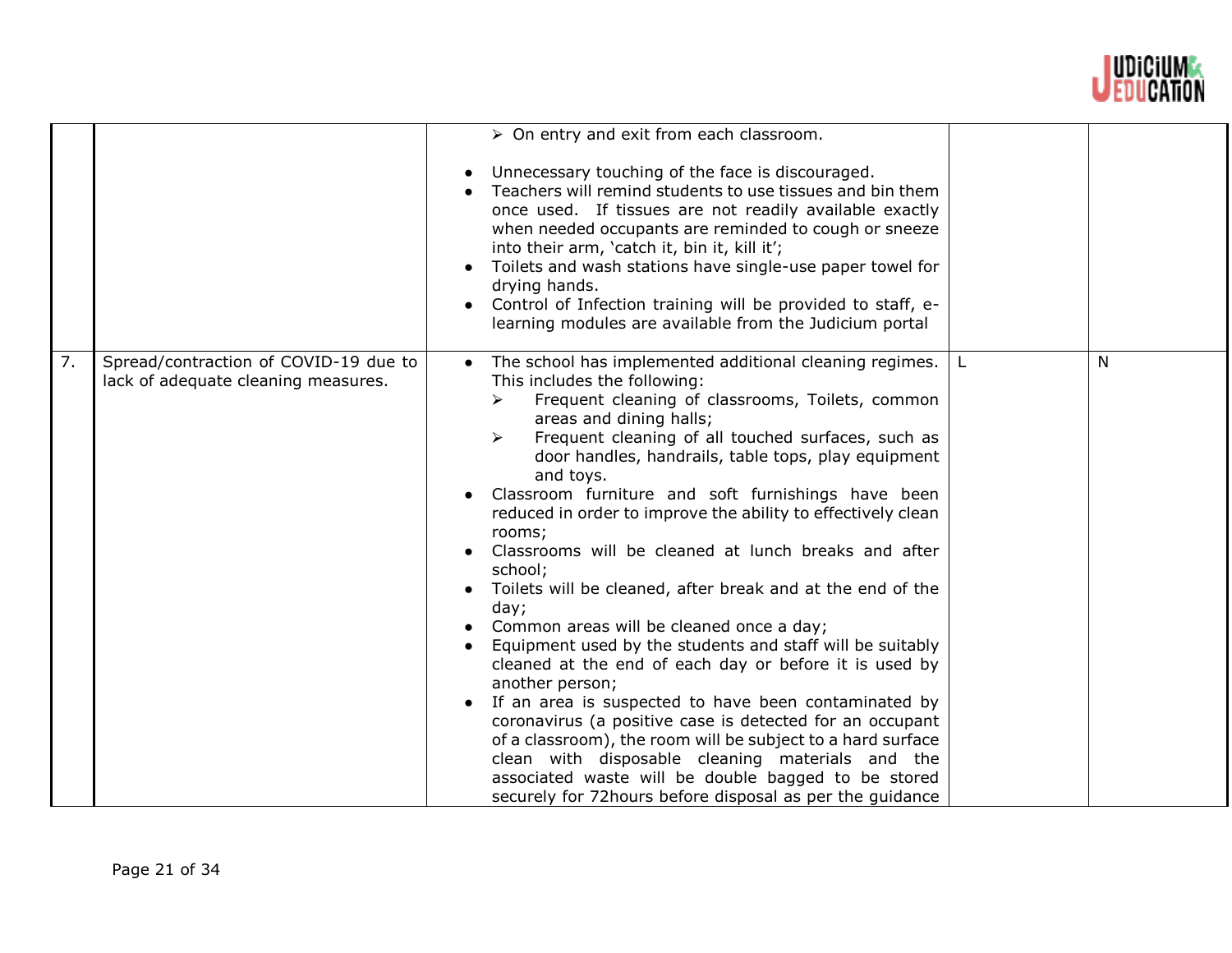

|    |                                                                              | $\triangleright$ On entry and exit from each classroom.                                                                                                                                                                                                                                                                                                                                                                                                                                                                                                                                                                                                                                                                                                                                                                                                                                                                                                                                                                                                                                                                                                               |    |   |
|----|------------------------------------------------------------------------------|-----------------------------------------------------------------------------------------------------------------------------------------------------------------------------------------------------------------------------------------------------------------------------------------------------------------------------------------------------------------------------------------------------------------------------------------------------------------------------------------------------------------------------------------------------------------------------------------------------------------------------------------------------------------------------------------------------------------------------------------------------------------------------------------------------------------------------------------------------------------------------------------------------------------------------------------------------------------------------------------------------------------------------------------------------------------------------------------------------------------------------------------------------------------------|----|---|
|    |                                                                              | Unnecessary touching of the face is discouraged.<br>Teachers will remind students to use tissues and bin them<br>once used. If tissues are not readily available exactly<br>when needed occupants are reminded to cough or sneeze<br>into their arm, 'catch it, bin it, kill it';<br>Toilets and wash stations have single-use paper towel for<br>drying hands.<br>Control of Infection training will be provided to staff, e-<br>learning modules are available from the Judicium portal                                                                                                                                                                                                                                                                                                                                                                                                                                                                                                                                                                                                                                                                             |    |   |
| 7. | Spread/contraction of COVID-19 due to<br>lack of adequate cleaning measures. | The school has implemented additional cleaning regimes.<br>$\bullet$<br>This includes the following:<br>Frequent cleaning of classrooms, Toilets, common<br>➤<br>areas and dining halls;<br>Frequent cleaning of all touched surfaces, such as<br>$\blacktriangleright$<br>door handles, handrails, table tops, play equipment<br>and toys.<br>Classroom furniture and soft furnishings have been<br>reduced in order to improve the ability to effectively clean<br>rooms;<br>Classrooms will be cleaned at lunch breaks and after<br>school;<br>Toilets will be cleaned, after break and at the end of the<br>day;<br>Common areas will be cleaned once a day;<br>Equipment used by the students and staff will be suitably<br>cleaned at the end of each day or before it is used by<br>another person;<br>If an area is suspected to have been contaminated by<br>coronavirus (a positive case is detected for an occupant<br>of a classroom), the room will be subject to a hard surface<br>clean with disposable cleaning materials and the<br>associated waste will be double bagged to be stored<br>securely for 72 hours before disposal as per the guidance | L. | N |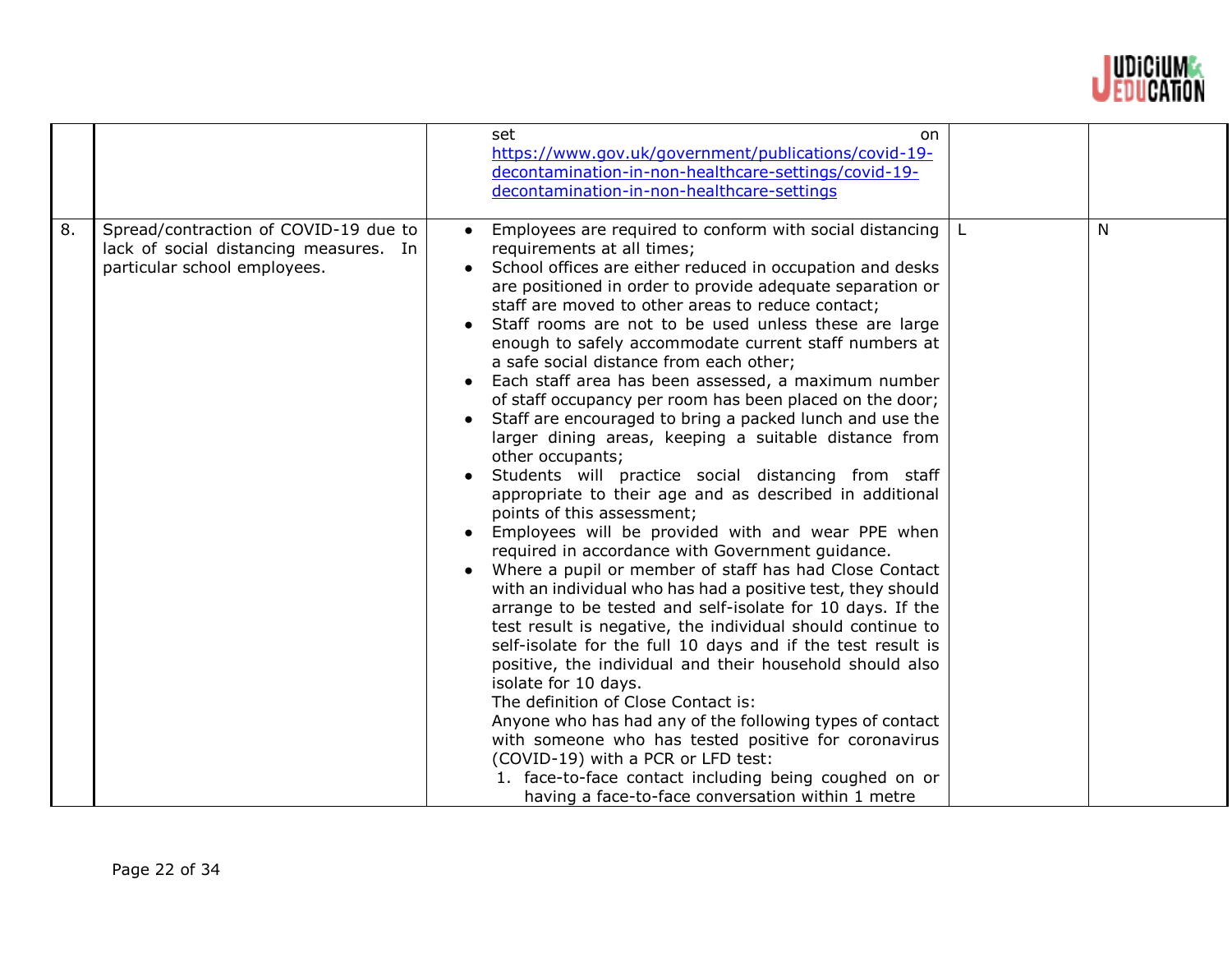

|    |                                                                                                                 | set<br>on<br>https://www.gov.uk/government/publications/covid-19-<br>decontamination-in-non-healthcare-settings/covid-19-<br>decontamination-in-non-healthcare-settings                                                                                                                                                                                                                                                                                                                                                                                                                                                                                                                                                                                                                                                                                                                                                                                                                                                                                                                                                                                                                                                                                                                                                                                                                                                                                                                                                                                                                                                                                                           |   |
|----|-----------------------------------------------------------------------------------------------------------------|-----------------------------------------------------------------------------------------------------------------------------------------------------------------------------------------------------------------------------------------------------------------------------------------------------------------------------------------------------------------------------------------------------------------------------------------------------------------------------------------------------------------------------------------------------------------------------------------------------------------------------------------------------------------------------------------------------------------------------------------------------------------------------------------------------------------------------------------------------------------------------------------------------------------------------------------------------------------------------------------------------------------------------------------------------------------------------------------------------------------------------------------------------------------------------------------------------------------------------------------------------------------------------------------------------------------------------------------------------------------------------------------------------------------------------------------------------------------------------------------------------------------------------------------------------------------------------------------------------------------------------------------------------------------------------------|---|
| 8. | Spread/contraction of COVID-19 due to<br>lack of social distancing measures. In<br>particular school employees. | Employees are required to conform with social distancing<br>requirements at all times;<br>School offices are either reduced in occupation and desks<br>are positioned in order to provide adequate separation or<br>staff are moved to other areas to reduce contact;<br>Staff rooms are not to be used unless these are large<br>enough to safely accommodate current staff numbers at<br>a safe social distance from each other;<br>• Each staff area has been assessed, a maximum number<br>of staff occupancy per room has been placed on the door;<br>Staff are encouraged to bring a packed lunch and use the<br>larger dining areas, keeping a suitable distance from<br>other occupants;<br>Students will practice social distancing from staff<br>appropriate to their age and as described in additional<br>points of this assessment;<br>• Employees will be provided with and wear PPE when<br>required in accordance with Government guidance.<br>Where a pupil or member of staff has had Close Contact<br>with an individual who has had a positive test, they should<br>arrange to be tested and self-isolate for 10 days. If the<br>test result is negative, the individual should continue to<br>self-isolate for the full 10 days and if the test result is<br>positive, the individual and their household should also<br>isolate for 10 days.<br>The definition of Close Contact is:<br>Anyone who has had any of the following types of contact<br>with someone who has tested positive for coronavirus<br>(COVID-19) with a PCR or LFD test:<br>1. face-to-face contact including being coughed on or<br>having a face-to-face conversation within 1 metre | N |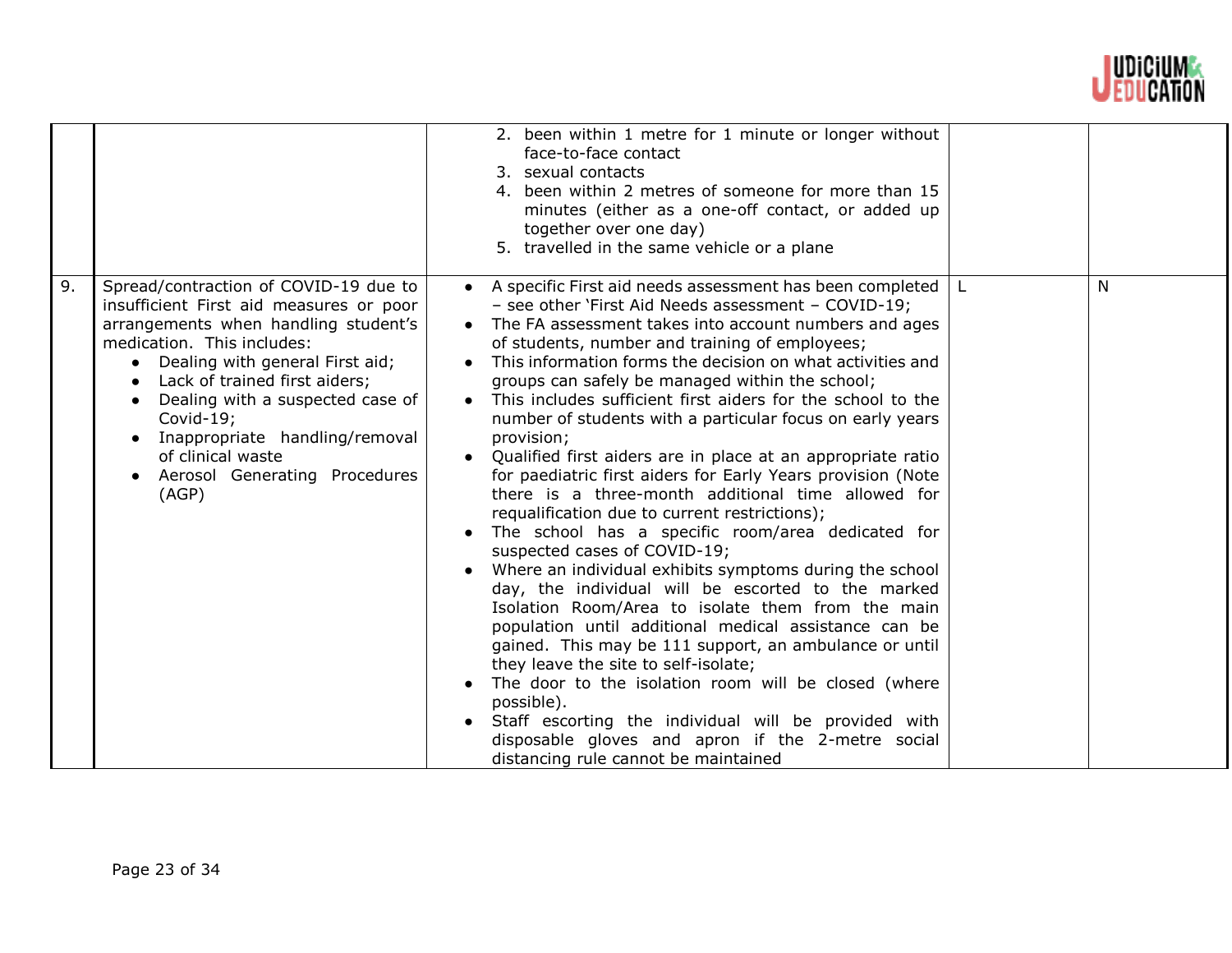

|    |                                                                                                                                                                                                                                                                                                                                                                                  | 2. been within 1 metre for 1 minute or longer without<br>face-to-face contact<br>3. sexual contacts<br>4. been within 2 metres of someone for more than 15<br>minutes (either as a one-off contact, or added up<br>together over one day)<br>5. travelled in the same vehicle or a plane                                                                                                                                                                                                                                                                                                                                                                                                                                                                                                                                                                                                                                                                                                                                                                                                                                                                                                                                                                                                                                                                                                     |   |
|----|----------------------------------------------------------------------------------------------------------------------------------------------------------------------------------------------------------------------------------------------------------------------------------------------------------------------------------------------------------------------------------|----------------------------------------------------------------------------------------------------------------------------------------------------------------------------------------------------------------------------------------------------------------------------------------------------------------------------------------------------------------------------------------------------------------------------------------------------------------------------------------------------------------------------------------------------------------------------------------------------------------------------------------------------------------------------------------------------------------------------------------------------------------------------------------------------------------------------------------------------------------------------------------------------------------------------------------------------------------------------------------------------------------------------------------------------------------------------------------------------------------------------------------------------------------------------------------------------------------------------------------------------------------------------------------------------------------------------------------------------------------------------------------------|---|
| 9. | Spread/contraction of COVID-19 due to<br>insufficient First aid measures or poor<br>arrangements when handling student's<br>medication. This includes:<br>• Dealing with general First aid;<br>Lack of trained first aiders;<br>Dealing with a suspected case of<br>Covid-19;<br>Inappropriate handling/removal<br>of clinical waste<br>• Aerosol Generating Procedures<br>(AGP) | • A specific First aid needs assessment has been completed<br>- see other 'First Aid Needs assessment - COVID-19;<br>• The FA assessment takes into account numbers and ages<br>of students, number and training of employees;<br>This information forms the decision on what activities and<br>groups can safely be managed within the school;<br>This includes sufficient first aiders for the school to the<br>number of students with a particular focus on early years<br>provision;<br>Qualified first aiders are in place at an appropriate ratio<br>$\bullet$<br>for paediatric first aiders for Early Years provision (Note<br>there is a three-month additional time allowed for<br>requalification due to current restrictions);<br>The school has a specific room/area dedicated for<br>suspected cases of COVID-19;<br>Where an individual exhibits symptoms during the school<br>day, the individual will be escorted to the marked<br>Isolation Room/Area to isolate them from the main<br>population until additional medical assistance can be<br>gained. This may be 111 support, an ambulance or until<br>they leave the site to self-isolate;<br>The door to the isolation room will be closed (where<br>possible).<br>Staff escorting the individual will be provided with<br>disposable gloves and apron if the 2-metre social<br>distancing rule cannot be maintained | N |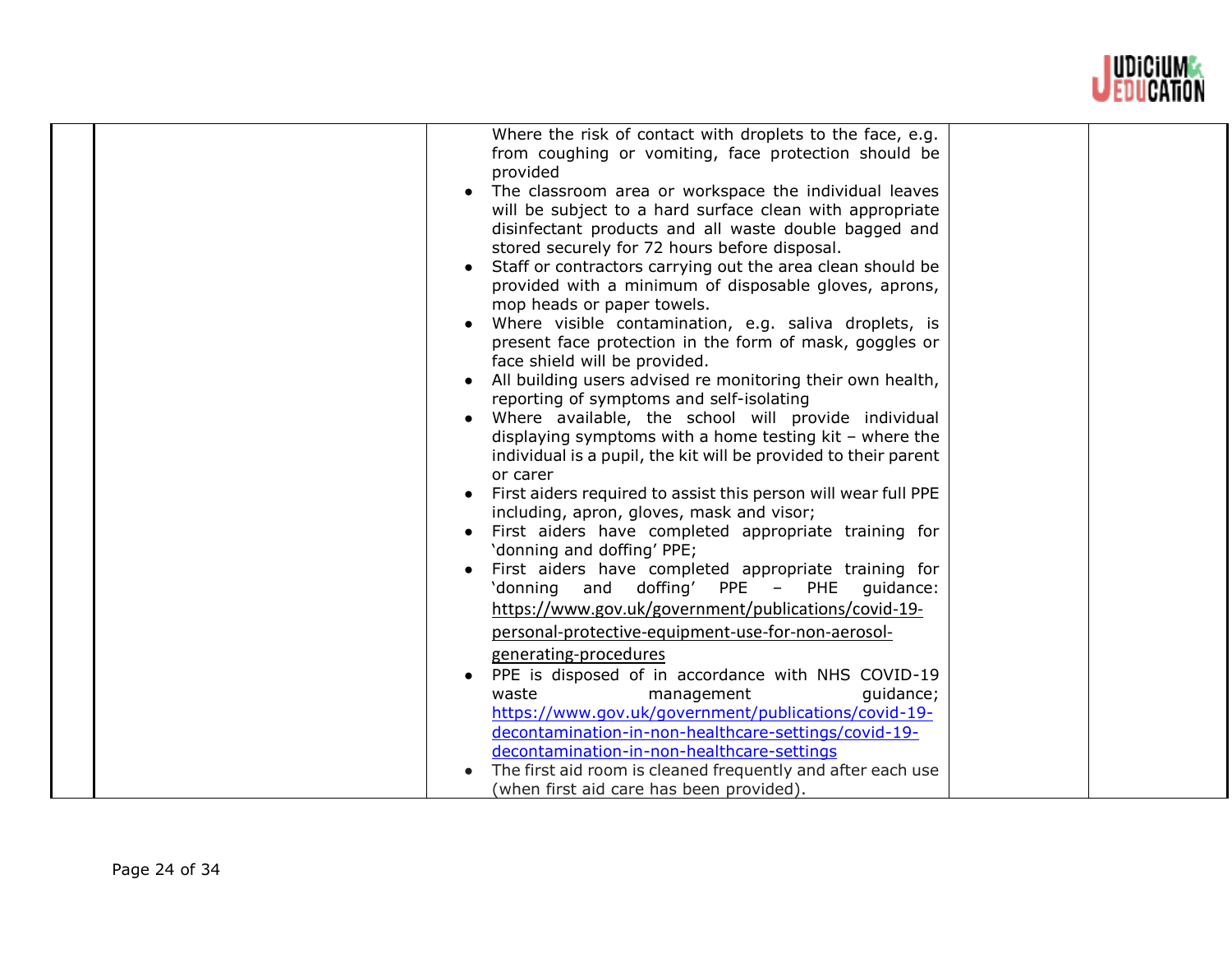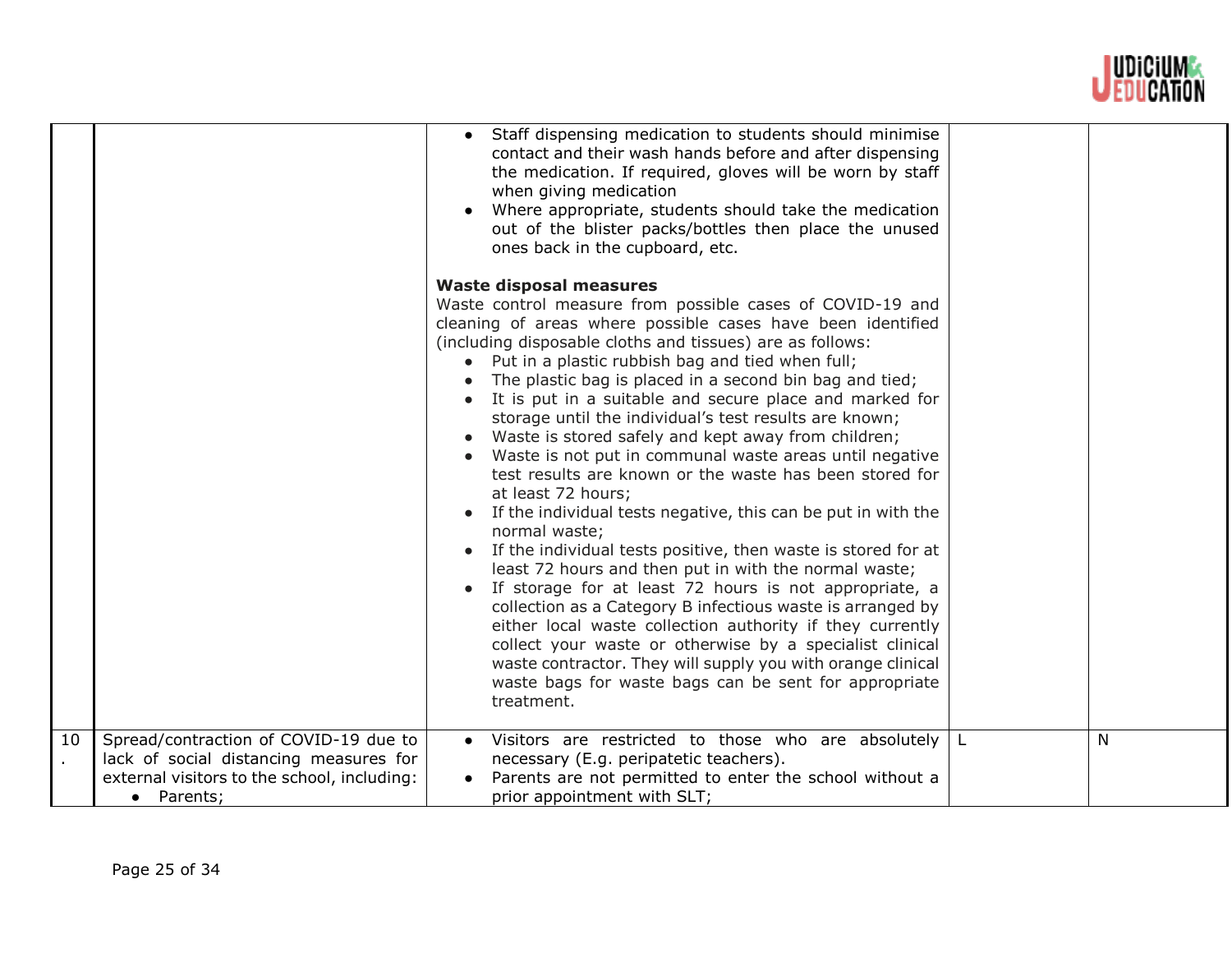

| Staff dispensing medication to students should minimise<br>contact and their wash hands before and after dispensing<br>the medication. If required, gloves will be worn by staff<br>when giving medication<br>Where appropriate, students should take the medication<br>out of the blister packs/bottles then place the unused<br>ones back in the cupboard, etc.<br><b>Waste disposal measures</b><br>Waste control measure from possible cases of COVID-19 and<br>cleaning of areas where possible cases have been identified<br>(including disposable cloths and tissues) are as follows:<br>Put in a plastic rubbish bag and tied when full;<br>$\bullet$<br>The plastic bag is placed in a second bin bag and tied;<br>It is put in a suitable and secure place and marked for<br>storage until the individual's test results are known;<br>Waste is stored safely and kept away from children;<br>Waste is not put in communal waste areas until negative<br>test results are known or the waste has been stored for<br>at least 72 hours;<br>If the individual tests negative, this can be put in with the<br>normal waste;<br>If the individual tests positive, then waste is stored for at<br>least 72 hours and then put in with the normal waste;<br>If storage for at least 72 hours is not appropriate, a<br>collection as a Category B infectious waste is arranged by<br>either local waste collection authority if they currently<br>collect your waste or otherwise by a specialist clinical<br>waste contractor. They will supply you with orange clinical<br>waste bags for waste bags can be sent for appropriate<br>treatment.<br>10<br>Spread/contraction of COVID-19 due to<br>Visitors are restricted to those who are absolutely $ L $<br>N<br>lack of social distancing measures for<br>necessary (E.g. peripatetic teachers). |                                             |                                                         |  |
|----------------------------------------------------------------------------------------------------------------------------------------------------------------------------------------------------------------------------------------------------------------------------------------------------------------------------------------------------------------------------------------------------------------------------------------------------------------------------------------------------------------------------------------------------------------------------------------------------------------------------------------------------------------------------------------------------------------------------------------------------------------------------------------------------------------------------------------------------------------------------------------------------------------------------------------------------------------------------------------------------------------------------------------------------------------------------------------------------------------------------------------------------------------------------------------------------------------------------------------------------------------------------------------------------------------------------------------------------------------------------------------------------------------------------------------------------------------------------------------------------------------------------------------------------------------------------------------------------------------------------------------------------------------------------------------------------------------------------------------------------------------------------------------------------------------------------------------------------------|---------------------------------------------|---------------------------------------------------------|--|
|                                                                                                                                                                                                                                                                                                                                                                                                                                                                                                                                                                                                                                                                                                                                                                                                                                                                                                                                                                                                                                                                                                                                                                                                                                                                                                                                                                                                                                                                                                                                                                                                                                                                                                                                                                                                                                                          |                                             |                                                         |  |
|                                                                                                                                                                                                                                                                                                                                                                                                                                                                                                                                                                                                                                                                                                                                                                                                                                                                                                                                                                                                                                                                                                                                                                                                                                                                                                                                                                                                                                                                                                                                                                                                                                                                                                                                                                                                                                                          |                                             |                                                         |  |
| • Parents;<br>prior appointment with SLT;                                                                                                                                                                                                                                                                                                                                                                                                                                                                                                                                                                                                                                                                                                                                                                                                                                                                                                                                                                                                                                                                                                                                                                                                                                                                                                                                                                                                                                                                                                                                                                                                                                                                                                                                                                                                                | external visitors to the school, including: | Parents are not permitted to enter the school without a |  |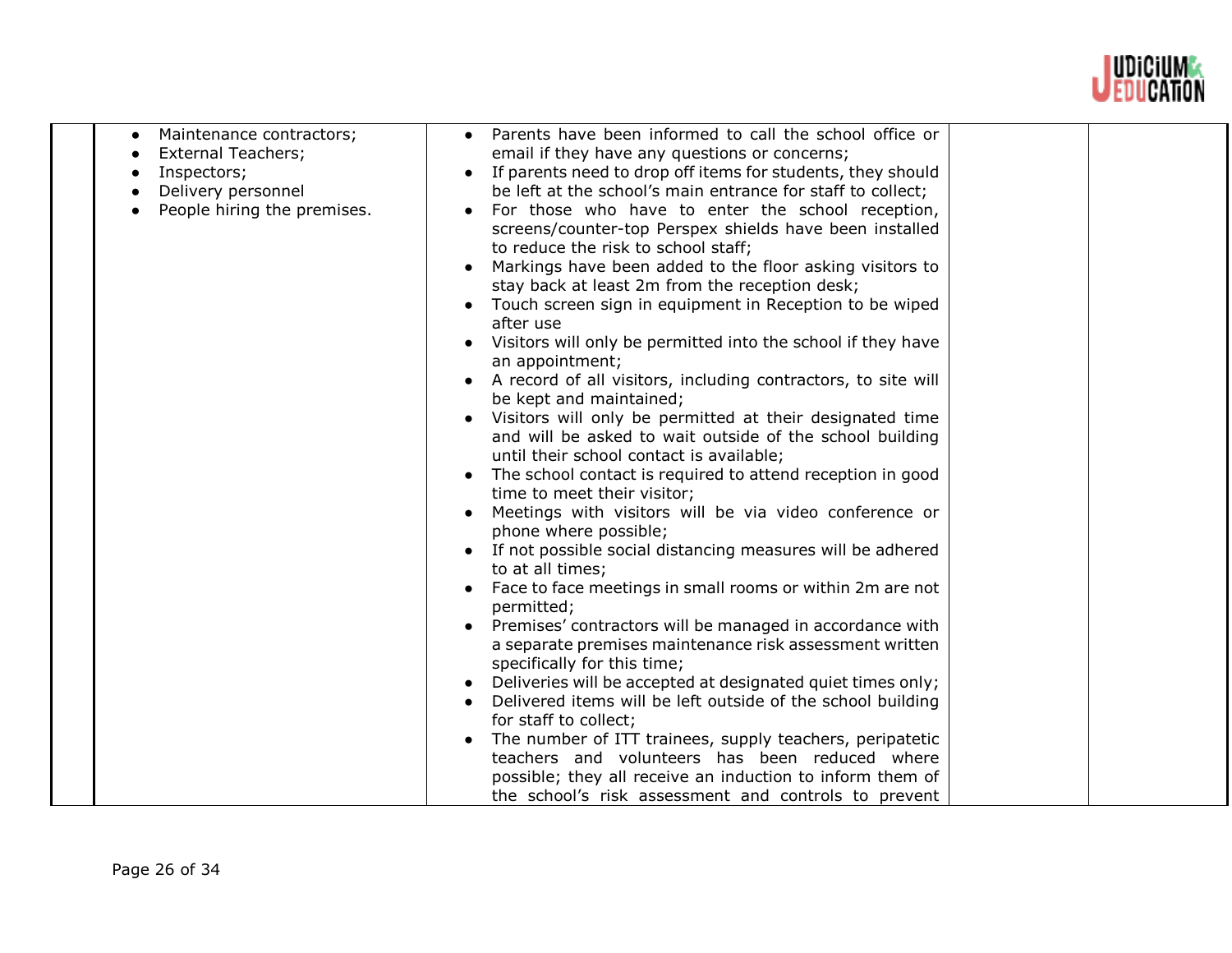

| $\bullet$<br>Inspectors; | Maintenance contractors;<br><b>External Teachers;</b><br>Delivery personnel<br>People hiring the premises. | Parents have been informed to call the school office or<br>email if they have any questions or concerns;<br>If parents need to drop off items for students, they should<br>be left at the school's main entrance for staff to collect;<br>For those who have to enter the school reception,<br>screens/counter-top Perspex shields have been installed<br>to reduce the risk to school staff;<br>Markings have been added to the floor asking visitors to<br>stay back at least 2m from the reception desk;<br>Touch screen sign in equipment in Reception to be wiped<br>after use<br>Visitors will only be permitted into the school if they have<br>an appointment;<br>A record of all visitors, including contractors, to site will<br>be kept and maintained;<br>Visitors will only be permitted at their designated time<br>and will be asked to wait outside of the school building<br>until their school contact is available;<br>The school contact is required to attend reception in good<br>time to meet their visitor;<br>Meetings with visitors will be via video conference or<br>phone where possible;<br>• If not possible social distancing measures will be adhered<br>to at all times;<br>Face to face meetings in small rooms or within 2m are not<br>permitted;<br>Premises' contractors will be managed in accordance with<br>a separate premises maintenance risk assessment written<br>specifically for this time;<br>Deliveries will be accepted at designated quiet times only;<br>Delivered items will be left outside of the school building<br>for staff to collect;<br>The number of ITT trainees, supply teachers, peripatetic<br>teachers and volunteers has been reduced where<br>possible; they all receive an induction to inform them of<br>the school's risk assessment and controls to prevent |  |
|--------------------------|------------------------------------------------------------------------------------------------------------|---------------------------------------------------------------------------------------------------------------------------------------------------------------------------------------------------------------------------------------------------------------------------------------------------------------------------------------------------------------------------------------------------------------------------------------------------------------------------------------------------------------------------------------------------------------------------------------------------------------------------------------------------------------------------------------------------------------------------------------------------------------------------------------------------------------------------------------------------------------------------------------------------------------------------------------------------------------------------------------------------------------------------------------------------------------------------------------------------------------------------------------------------------------------------------------------------------------------------------------------------------------------------------------------------------------------------------------------------------------------------------------------------------------------------------------------------------------------------------------------------------------------------------------------------------------------------------------------------------------------------------------------------------------------------------------------------------------------------------------------------------------------------------------------------------------------------------------|--|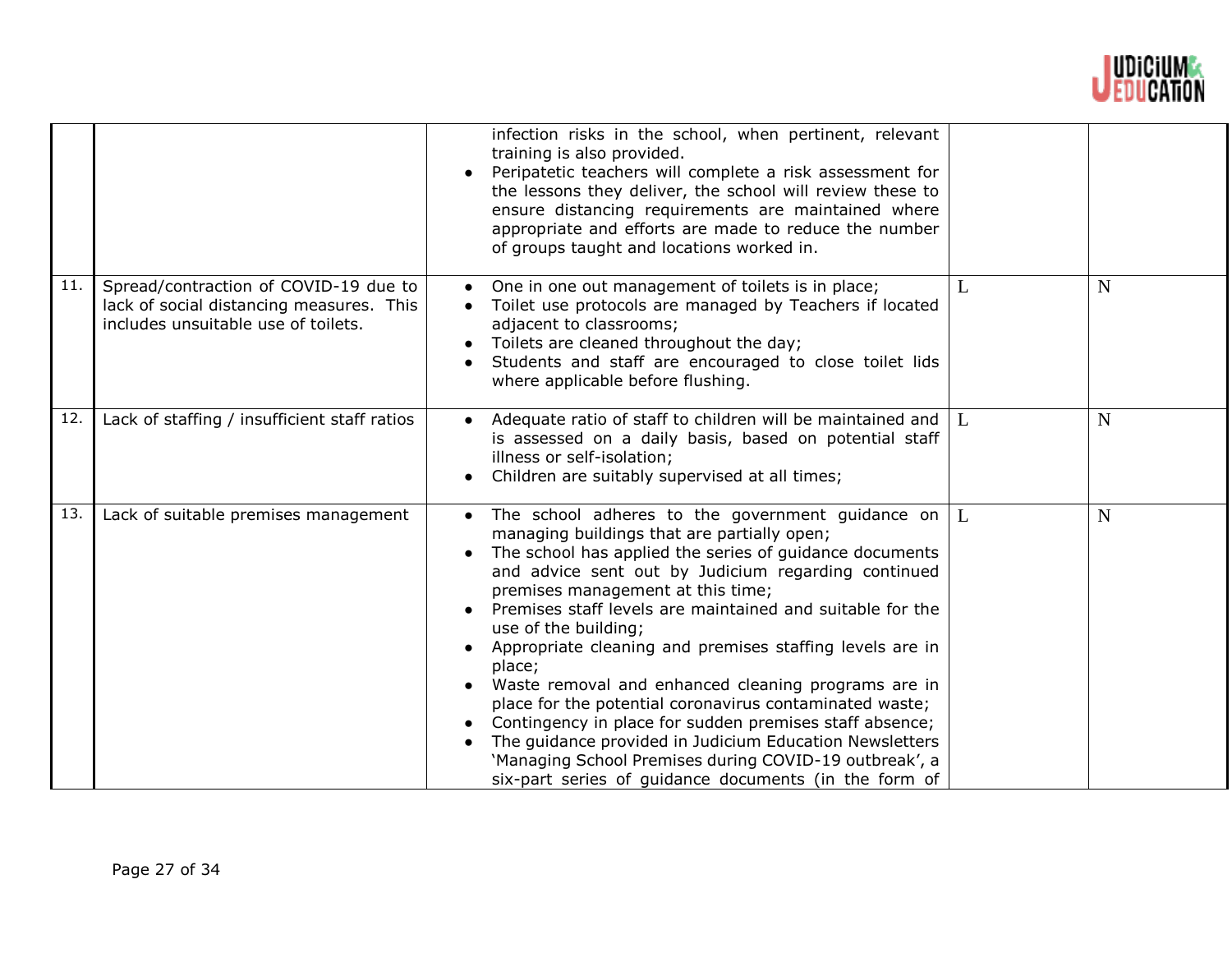

|     |                                                                                                                          | infection risks in the school, when pertinent, relevant<br>training is also provided.<br>Peripatetic teachers will complete a risk assessment for<br>the lessons they deliver, the school will review these to<br>ensure distancing requirements are maintained where<br>appropriate and efforts are made to reduce the number<br>of groups taught and locations worked in.                                                                                                                                                                                                                                                                                                                                                                                                        |              |             |
|-----|--------------------------------------------------------------------------------------------------------------------------|------------------------------------------------------------------------------------------------------------------------------------------------------------------------------------------------------------------------------------------------------------------------------------------------------------------------------------------------------------------------------------------------------------------------------------------------------------------------------------------------------------------------------------------------------------------------------------------------------------------------------------------------------------------------------------------------------------------------------------------------------------------------------------|--------------|-------------|
| 11. | Spread/contraction of COVID-19 due to<br>lack of social distancing measures. This<br>includes unsuitable use of toilets. | One in one out management of toilets is in place;<br>Toilet use protocols are managed by Teachers if located<br>adjacent to classrooms;<br>Toilets are cleaned throughout the day;<br>Students and staff are encouraged to close toilet lids<br>where applicable before flushing.                                                                                                                                                                                                                                                                                                                                                                                                                                                                                                  | L            | $\mathbf N$ |
| 12. | Lack of staffing / insufficient staff ratios                                                                             | Adequate ratio of staff to children will be maintained and<br>is assessed on a daily basis, based on potential staff<br>illness or self-isolation;<br>Children are suitably supervised at all times;                                                                                                                                                                                                                                                                                                                                                                                                                                                                                                                                                                               | $\mathbf{L}$ | N           |
| 13. | Lack of suitable premises management                                                                                     | The school adheres to the government guidance on $ L $<br>managing buildings that are partially open;<br>The school has applied the series of guidance documents<br>and advice sent out by Judicium regarding continued<br>premises management at this time;<br>Premises staff levels are maintained and suitable for the<br>use of the building;<br>Appropriate cleaning and premises staffing levels are in<br>place;<br>Waste removal and enhanced cleaning programs are in<br>place for the potential coronavirus contaminated waste;<br>Contingency in place for sudden premises staff absence;<br>The guidance provided in Judicium Education Newsletters<br>'Managing School Premises during COVID-19 outbreak', a<br>six-part series of guidance documents (in the form of |              | $\mathbf N$ |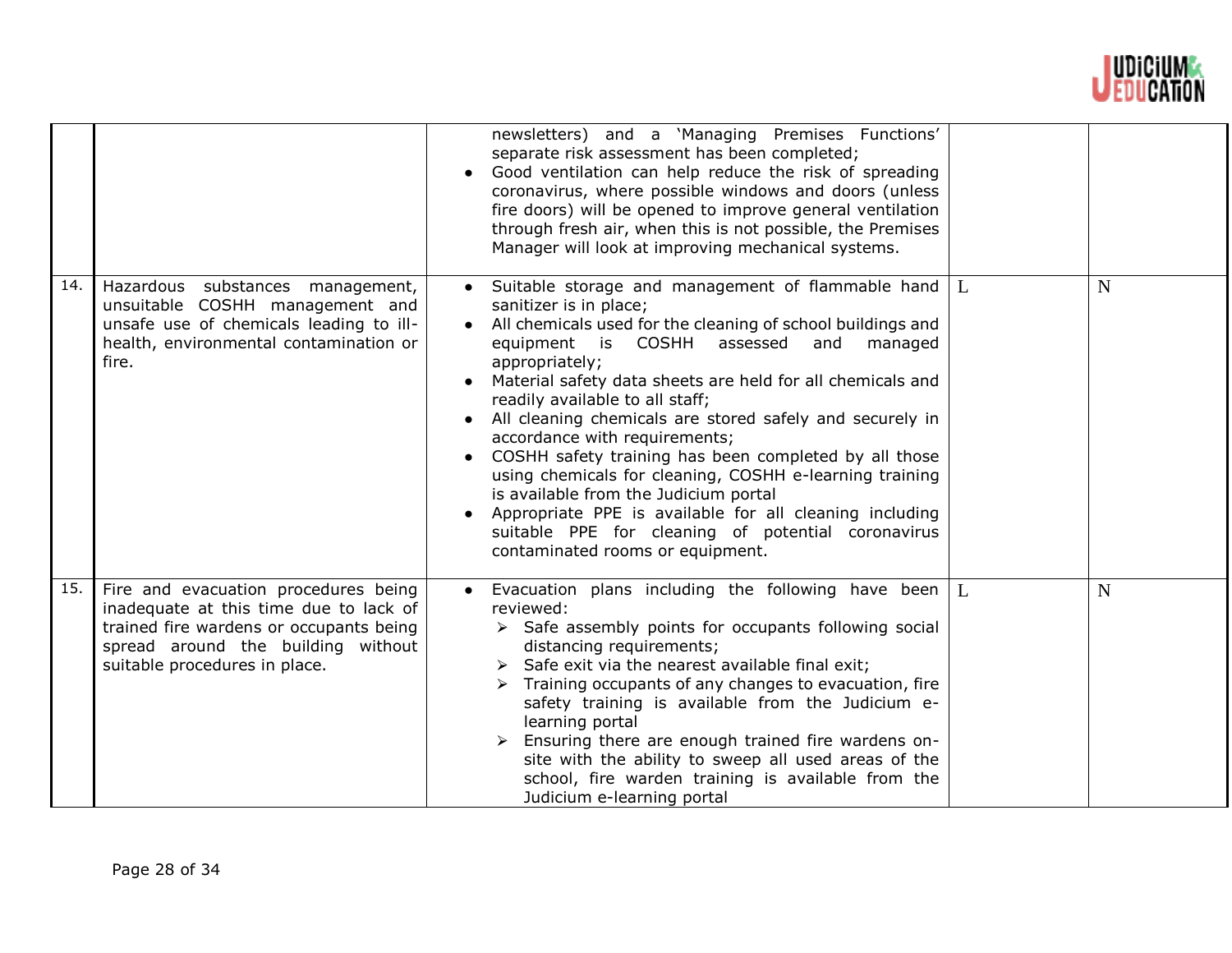

|     |                                                                                                                                                                                                  | newsletters) and a 'Managing Premises Functions'<br>separate risk assessment has been completed;<br>Good ventilation can help reduce the risk of spreading<br>coronavirus, where possible windows and doors (unless<br>fire doors) will be opened to improve general ventilation<br>through fresh air, when this is not possible, the Premises<br>Manager will look at improving mechanical systems.                                                                                                                                                                                                                                                                                                                                           |              |             |
|-----|--------------------------------------------------------------------------------------------------------------------------------------------------------------------------------------------------|------------------------------------------------------------------------------------------------------------------------------------------------------------------------------------------------------------------------------------------------------------------------------------------------------------------------------------------------------------------------------------------------------------------------------------------------------------------------------------------------------------------------------------------------------------------------------------------------------------------------------------------------------------------------------------------------------------------------------------------------|--------------|-------------|
| 14. | Hazardous substances management,<br>unsuitable COSHH management and<br>unsafe use of chemicals leading to ill-<br>health, environmental contamination or<br>fire.                                | Suitable storage and management of flammable hand $\lfloor L \rfloor$<br>sanitizer is in place;<br>All chemicals used for the cleaning of school buildings and<br>equipment is COSHH assessed and<br>managed<br>appropriately;<br>Material safety data sheets are held for all chemicals and<br>readily available to all staff;<br>All cleaning chemicals are stored safely and securely in<br>accordance with requirements;<br>COSHH safety training has been completed by all those<br>using chemicals for cleaning, COSHH e-learning training<br>is available from the Judicium portal<br>Appropriate PPE is available for all cleaning including<br>suitable PPE for cleaning of potential coronavirus<br>contaminated rooms or equipment. |              | N           |
| 15. | Fire and evacuation procedures being<br>inadequate at this time due to lack of<br>trained fire wardens or occupants being<br>spread around the building without<br>suitable procedures in place. | Evacuation plans including the following have been<br>reviewed:<br>$\triangleright$ Safe assembly points for occupants following social<br>distancing requirements;<br>$\triangleright$ Safe exit via the nearest available final exit;<br>$\triangleright$ Training occupants of any changes to evacuation, fire<br>safety training is available from the Judicium e-<br>learning portal<br>Ensuring there are enough trained fire wardens on-<br>site with the ability to sweep all used areas of the<br>school, fire warden training is available from the<br>Judicium e-learning portal                                                                                                                                                    | $\mathbf{L}$ | $\mathbf N$ |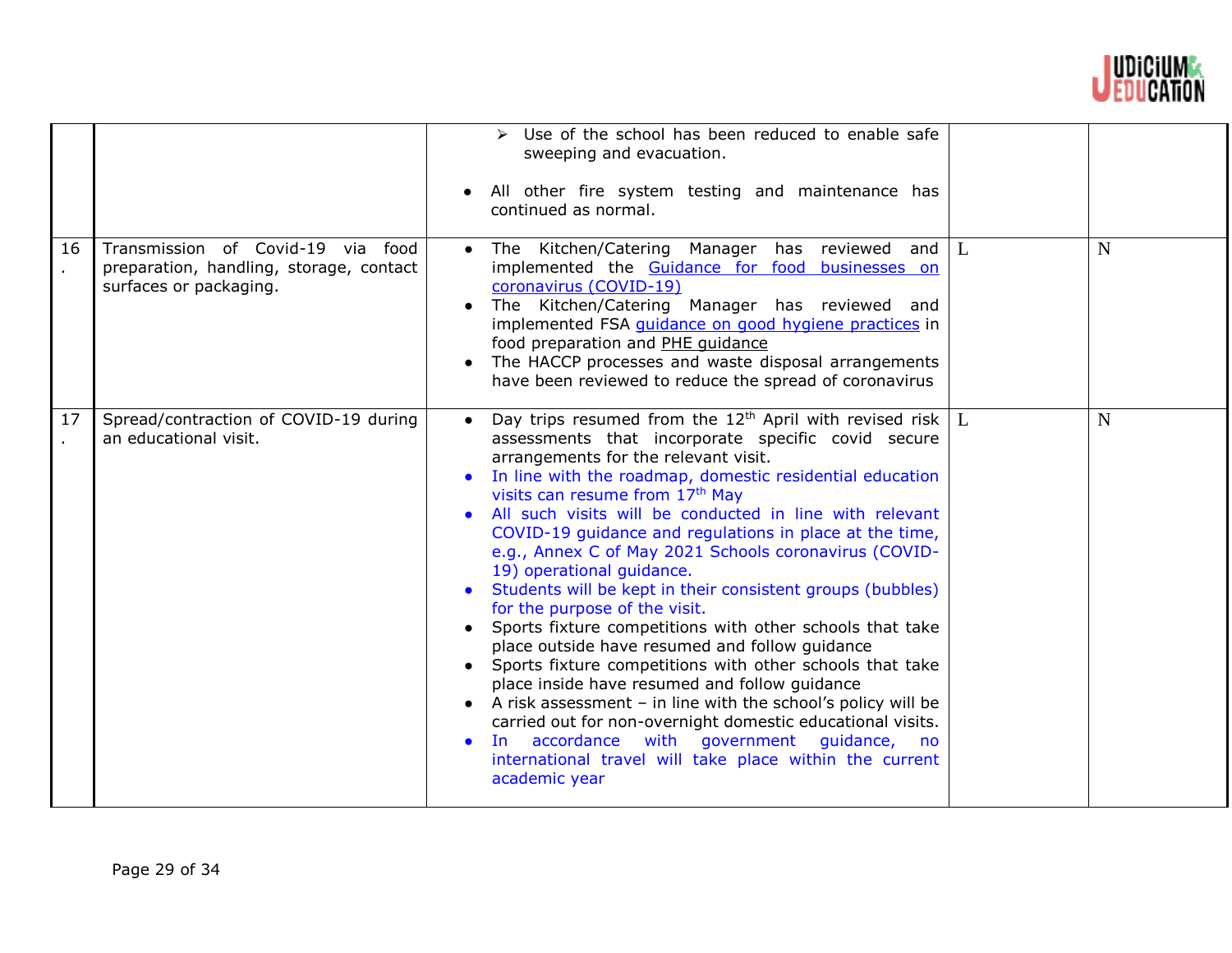

| 16 | Transmission of Covid-19 via food                                 | $\triangleright$ Use of the school has been reduced to enable safe<br>sweeping and evacuation.<br>All other fire system testing and maintenance has<br>continued as normal.<br>The Kitchen/Catering Manager has reviewed and $L$                                                                                                                                                                                                                                                                                                                                                                                                                                                                                                                                                                                                                                                                                                                                                                                                                                                                                            | N |
|----|-------------------------------------------------------------------|-----------------------------------------------------------------------------------------------------------------------------------------------------------------------------------------------------------------------------------------------------------------------------------------------------------------------------------------------------------------------------------------------------------------------------------------------------------------------------------------------------------------------------------------------------------------------------------------------------------------------------------------------------------------------------------------------------------------------------------------------------------------------------------------------------------------------------------------------------------------------------------------------------------------------------------------------------------------------------------------------------------------------------------------------------------------------------------------------------------------------------|---|
|    | preparation, handling, storage, contact<br>surfaces or packaging. | implemented the Guidance for food businesses on<br>coronavirus (COVID-19)<br>The Kitchen/Catering Manager has reviewed and<br>$\bullet$<br>implemented FSA <i>guidance on good hygiene practices</i> in<br>food preparation and PHE quidance<br>The HACCP processes and waste disposal arrangements<br>$\bullet$<br>have been reviewed to reduce the spread of coronavirus                                                                                                                                                                                                                                                                                                                                                                                                                                                                                                                                                                                                                                                                                                                                                  |   |
| 17 | Spread/contraction of COVID-19 during<br>an educational visit.    | Day trips resumed from the 12 <sup>th</sup> April with revised risk $\lfloor L \rfloor$<br>$\bullet$<br>assessments that incorporate specific covid secure<br>arrangements for the relevant visit.<br>In line with the roadmap, domestic residential education<br>visits can resume from 17th May<br>All such visits will be conducted in line with relevant<br>COVID-19 guidance and regulations in place at the time,<br>e.g., Annex C of May 2021 Schools coronavirus (COVID-<br>19) operational guidance.<br>Students will be kept in their consistent groups (bubbles)<br>for the purpose of the visit.<br>Sports fixture competitions with other schools that take<br>place outside have resumed and follow guidance<br>Sports fixture competitions with other schools that take<br>place inside have resumed and follow guidance<br>A risk assessment $-$ in line with the school's policy will be<br>$\bullet$<br>carried out for non-overnight domestic educational visits.<br>In accordance with government guidance, no<br>$\bullet$<br>international travel will take place within the current<br>academic year | N |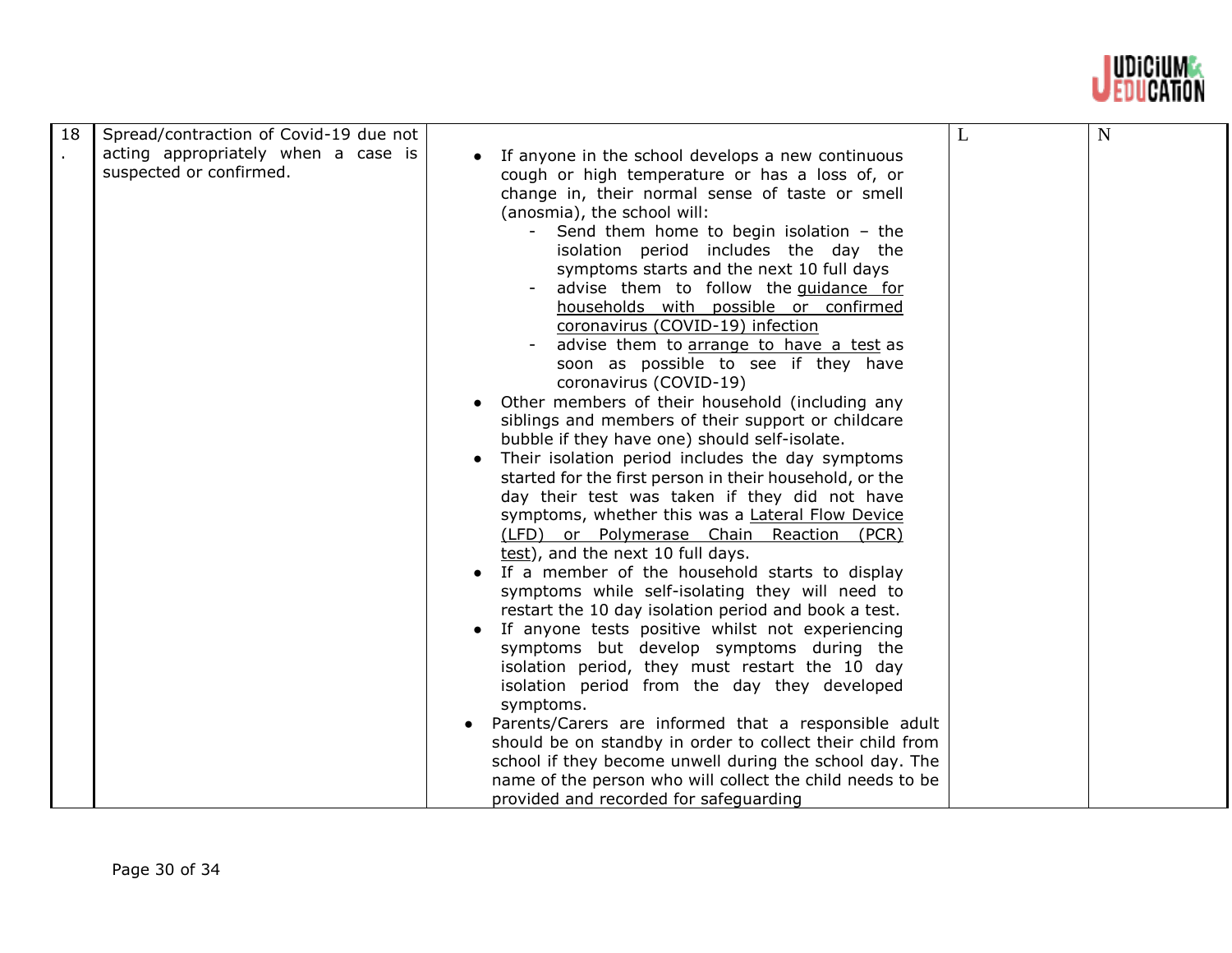

| 18 | Spread/contraction of Covid-19 due not                         |                                                                                                                                                                                                                                                                                                                                                                                                                                                                                                                                                                                                                                                                                                                                                                                                                                                                                                                                                                                                                                                                                                                                                                                                                                                                                                                                                                                                                                                                                                                                                                                                                                                       |   |             |
|----|----------------------------------------------------------------|-------------------------------------------------------------------------------------------------------------------------------------------------------------------------------------------------------------------------------------------------------------------------------------------------------------------------------------------------------------------------------------------------------------------------------------------------------------------------------------------------------------------------------------------------------------------------------------------------------------------------------------------------------------------------------------------------------------------------------------------------------------------------------------------------------------------------------------------------------------------------------------------------------------------------------------------------------------------------------------------------------------------------------------------------------------------------------------------------------------------------------------------------------------------------------------------------------------------------------------------------------------------------------------------------------------------------------------------------------------------------------------------------------------------------------------------------------------------------------------------------------------------------------------------------------------------------------------------------------------------------------------------------------|---|-------------|
|    | acting appropriately when a case is<br>suspected or confirmed. | If anyone in the school develops a new continuous<br>cough or high temperature or has a loss of, or<br>change in, their normal sense of taste or smell<br>(anosmia), the school will:<br>Send them home to begin isolation - the<br>isolation period includes the day the<br>symptoms starts and the next 10 full days<br>advise them to follow the quidance for<br>households with possible or confirmed<br>coronavirus (COVID-19) infection<br>advise them to arrange to have a test as<br>soon as possible to see if they have<br>coronavirus (COVID-19)<br>Other members of their household (including any<br>siblings and members of their support or childcare<br>bubble if they have one) should self-isolate.<br>Their isolation period includes the day symptoms<br>started for the first person in their household, or the<br>day their test was taken if they did not have<br>symptoms, whether this was a Lateral Flow Device<br>(LFD) or Polymerase Chain Reaction (PCR)<br>test), and the next 10 full days.<br>If a member of the household starts to display<br>symptoms while self-isolating they will need to<br>restart the 10 day isolation period and book a test.<br>• If anyone tests positive whilst not experiencing<br>symptoms but develop symptoms during the<br>isolation period, they must restart the 10 day<br>isolation period from the day they developed<br>symptoms.<br>Parents/Carers are informed that a responsible adult<br>should be on standby in order to collect their child from<br>school if they become unwell during the school day. The<br>name of the person who will collect the child needs to be | L | $\mathbf N$ |
|    |                                                                | provided and recorded for safeguarding                                                                                                                                                                                                                                                                                                                                                                                                                                                                                                                                                                                                                                                                                                                                                                                                                                                                                                                                                                                                                                                                                                                                                                                                                                                                                                                                                                                                                                                                                                                                                                                                                |   |             |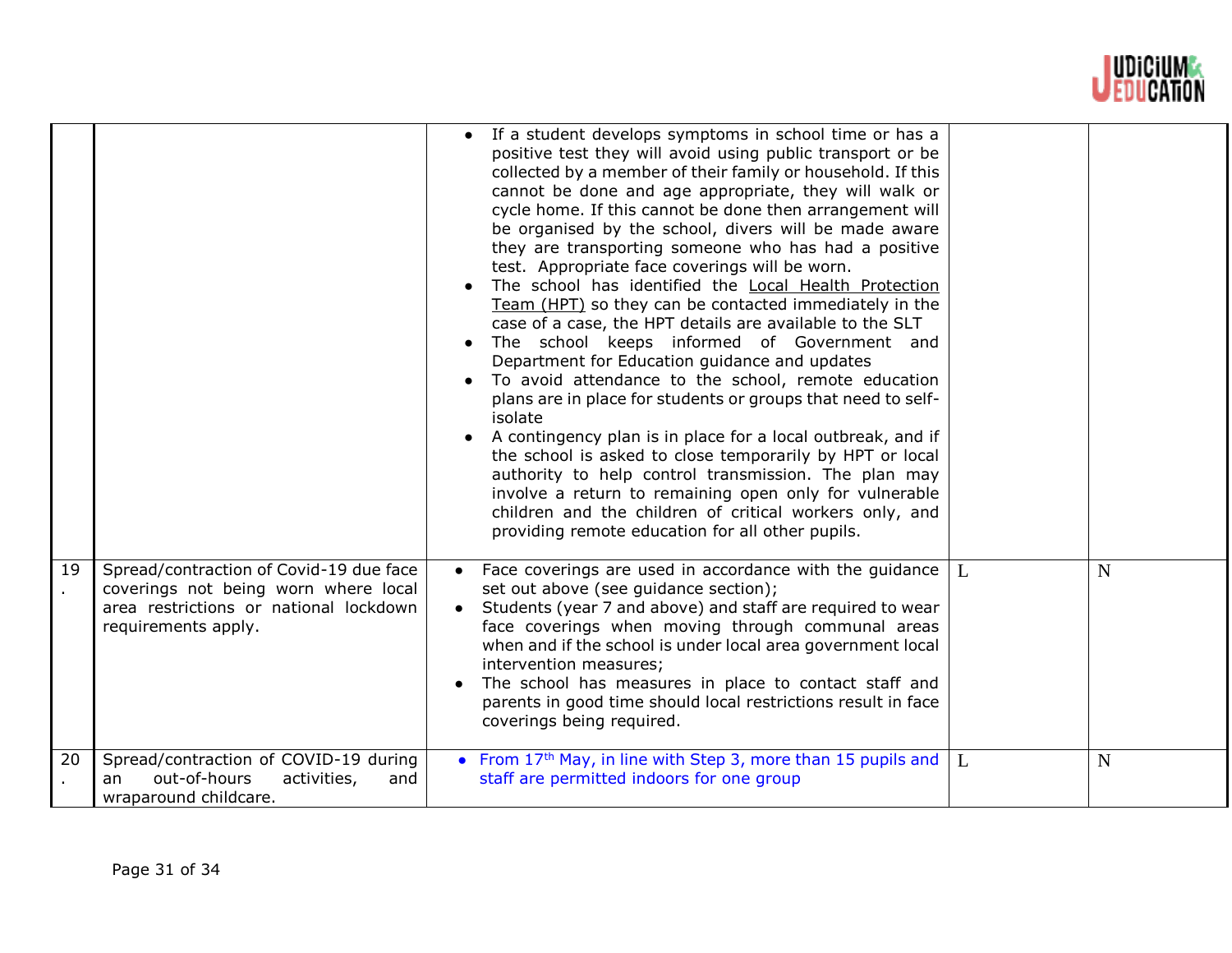

|    |                                                                                                                                                  | If a student develops symptoms in school time or has a<br>positive test they will avoid using public transport or be<br>collected by a member of their family or household. If this<br>cannot be done and age appropriate, they will walk or<br>cycle home. If this cannot be done then arrangement will<br>be organised by the school, divers will be made aware<br>they are transporting someone who has had a positive<br>test. Appropriate face coverings will be worn.<br>The school has identified the Local Health Protection<br>Team (HPT) so they can be contacted immediately in the<br>case of a case, the HPT details are available to the SLT<br>The school keeps informed of Government and<br>Department for Education guidance and updates<br>To avoid attendance to the school, remote education<br>plans are in place for students or groups that need to self-<br>isolate<br>A contingency plan is in place for a local outbreak, and if<br>the school is asked to close temporarily by HPT or local<br>authority to help control transmission. The plan may<br>involve a return to remaining open only for vulnerable<br>children and the children of critical workers only, and<br>providing remote education for all other pupils. |   |             |
|----|--------------------------------------------------------------------------------------------------------------------------------------------------|----------------------------------------------------------------------------------------------------------------------------------------------------------------------------------------------------------------------------------------------------------------------------------------------------------------------------------------------------------------------------------------------------------------------------------------------------------------------------------------------------------------------------------------------------------------------------------------------------------------------------------------------------------------------------------------------------------------------------------------------------------------------------------------------------------------------------------------------------------------------------------------------------------------------------------------------------------------------------------------------------------------------------------------------------------------------------------------------------------------------------------------------------------------------------------------------------------------------------------------------------------|---|-------------|
| 19 | Spread/contraction of Covid-19 due face<br>coverings not being worn where local<br>area restrictions or national lockdown<br>requirements apply. | Face coverings are used in accordance with the guidance<br>set out above (see guidance section);<br>Students (year 7 and above) and staff are required to wear<br>face coverings when moving through communal areas<br>when and if the school is under local area government local<br>intervention measures;<br>The school has measures in place to contact staff and<br>parents in good time should local restrictions result in face<br>coverings being required.                                                                                                                                                                                                                                                                                                                                                                                                                                                                                                                                                                                                                                                                                                                                                                                      | L | N           |
| 20 | Spread/contraction of COVID-19 during<br>out-of-hours<br>activities,<br>and<br>an<br>wraparound childcare.                                       | • From 17 <sup>th</sup> May, in line with Step 3, more than 15 pupils and $\vert$ L<br>staff are permitted indoors for one group                                                                                                                                                                                                                                                                                                                                                                                                                                                                                                                                                                                                                                                                                                                                                                                                                                                                                                                                                                                                                                                                                                                         |   | $\mathbf N$ |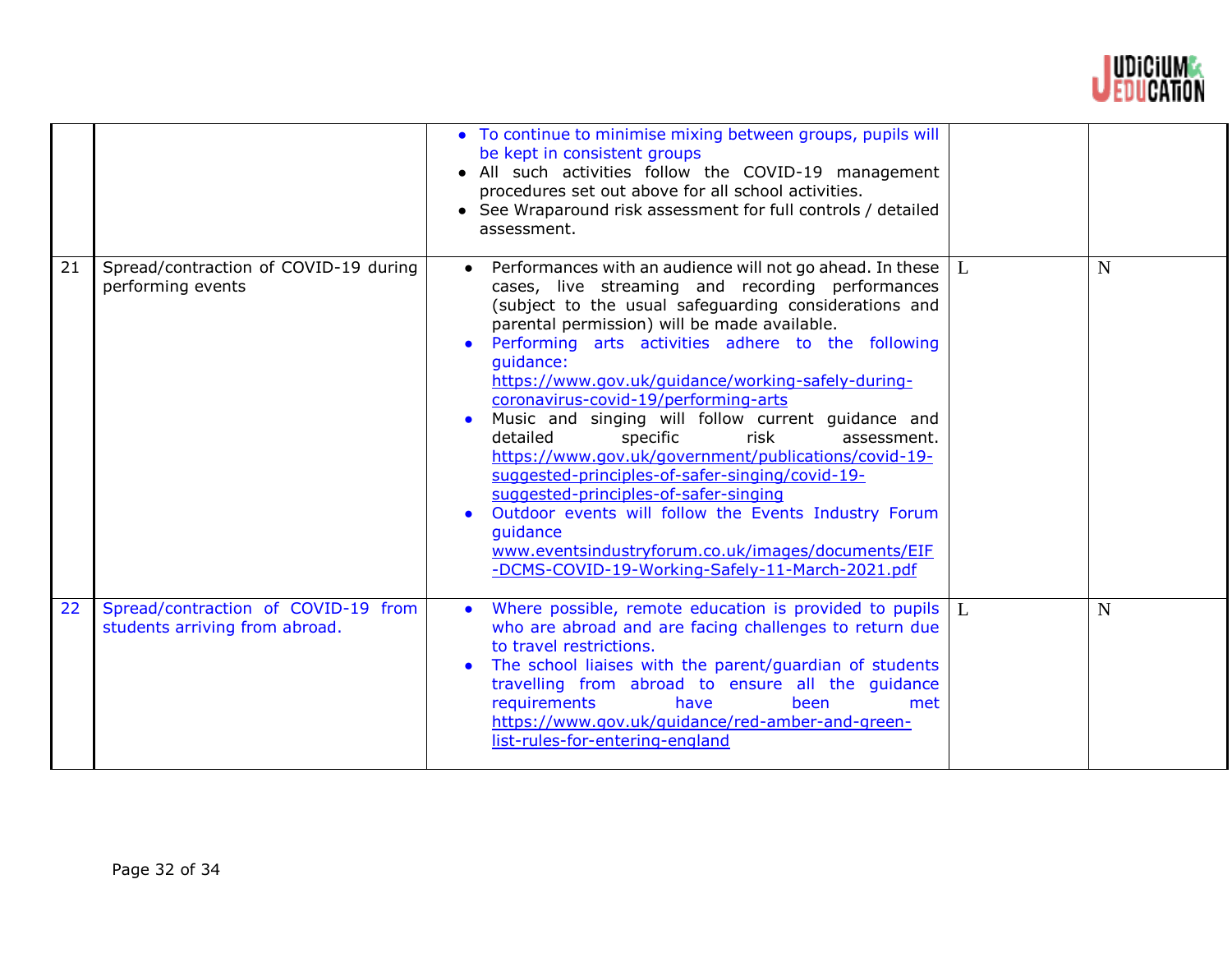

|    |                                                                       | • To continue to minimise mixing between groups, pupils will<br>be kept in consistent groups<br>• All such activities follow the COVID-19 management<br>procedures set out above for all school activities.<br>• See Wraparound risk assessment for full controls / detailed<br>assessment.                                                                                                                                                                                                                                                                                                                                                                                                                                                                                                                                                             |              |             |
|----|-----------------------------------------------------------------------|---------------------------------------------------------------------------------------------------------------------------------------------------------------------------------------------------------------------------------------------------------------------------------------------------------------------------------------------------------------------------------------------------------------------------------------------------------------------------------------------------------------------------------------------------------------------------------------------------------------------------------------------------------------------------------------------------------------------------------------------------------------------------------------------------------------------------------------------------------|--------------|-------------|
| 21 | Spread/contraction of COVID-19 during<br>performing events            | Performances with an audience will not go ahead. In these<br>cases, live streaming and recording performances<br>(subject to the usual safeguarding considerations and<br>parental permission) will be made available.<br>Performing arts activities adhere to the following<br>quidance:<br>https://www.gov.uk/guidance/working-safely-during-<br>coronavirus-covid-19/performing-arts<br>Music and singing will follow current guidance and<br>$\bullet$<br>detailed<br>specific<br>risk<br>assessment.<br>https://www.gov.uk/government/publications/covid-19-<br>suggested-principles-of-safer-singing/covid-19-<br>suggested-principles-of-safer-singing<br>Outdoor events will follow the Events Industry Forum<br>$\bullet$<br>guidance<br>www.eventsindustryforum.co.uk/images/documents/EIF<br>-DCMS-COVID-19-Working-Safely-11-March-2021.pdf | L            | $\mathbf N$ |
| 22 | Spread/contraction of COVID-19 from<br>students arriving from abroad. | Where possible, remote education is provided to pupils<br>$\bullet$<br>who are abroad and are facing challenges to return due<br>to travel restrictions.<br>The school liaises with the parent/guardian of students<br>travelling from abroad to ensure all the guidance<br>requirements<br>have<br>been<br>met<br>https://www.gov.uk/guidance/red-amber-and-green-<br>list-rules-for-entering-england                                                                                                                                                                                                                                                                                                                                                                                                                                                  | $\mathbf{L}$ | $\mathbf N$ |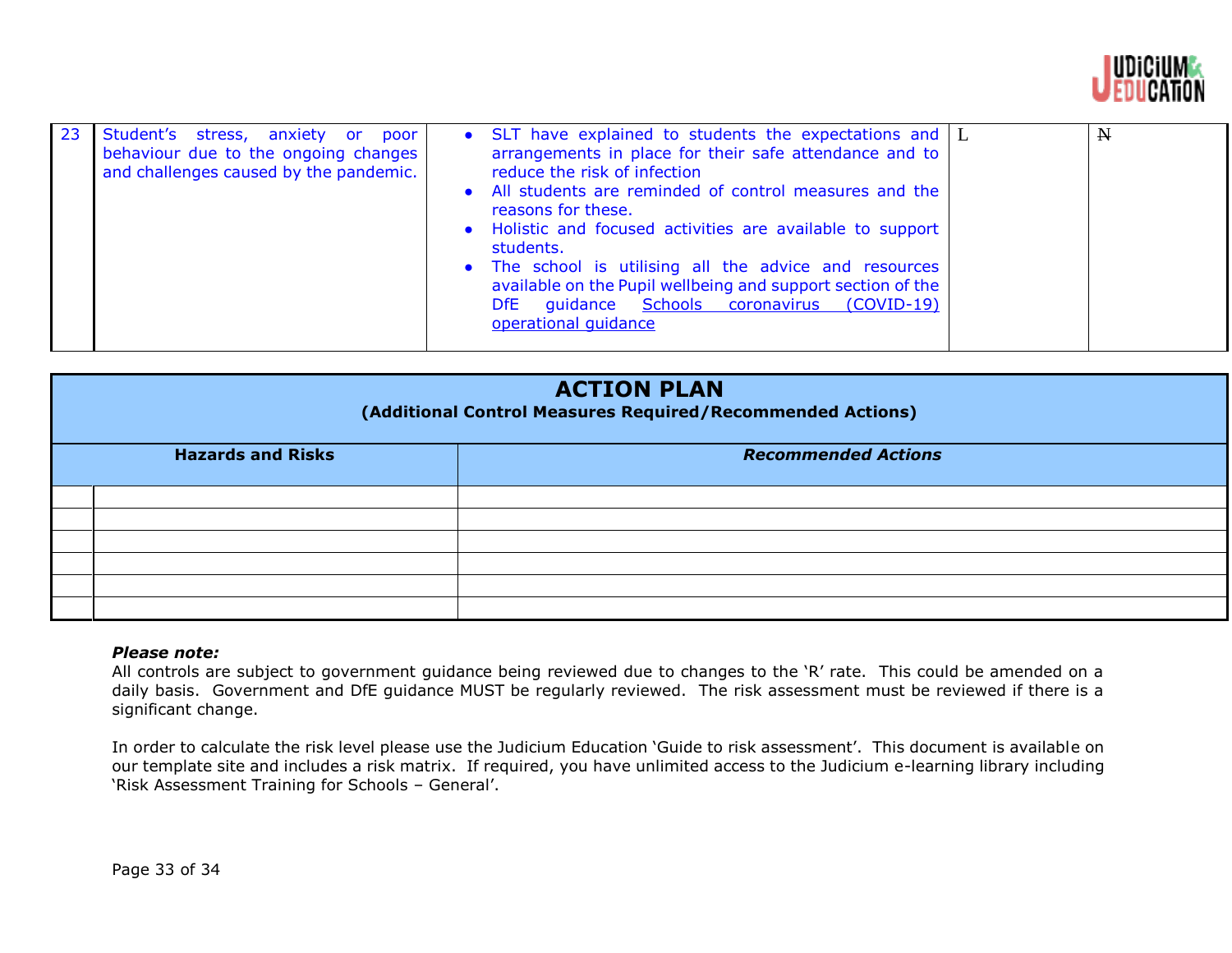

| 23 | Student's stress, anxiety or<br>poor<br>behaviour due to the ongoing changes<br>and challenges caused by the pandemic. | • SLT have explained to students the expectations and $\lfloor L \rfloor$<br>arrangements in place for their safe attendance and to<br>reduce the risk of infection<br>• All students are reminded of control measures and the<br>reasons for these.<br>• Holistic and focused activities are available to support<br>students.<br>• The school is utilising all the advice and resources<br>available on the Pupil wellbeing and support section of the<br>guidance Schools coronavirus (COVID-19)<br>DfE.<br>operational quidance |  | $\mathbf N$ |
|----|------------------------------------------------------------------------------------------------------------------------|-------------------------------------------------------------------------------------------------------------------------------------------------------------------------------------------------------------------------------------------------------------------------------------------------------------------------------------------------------------------------------------------------------------------------------------------------------------------------------------------------------------------------------------|--|-------------|
|----|------------------------------------------------------------------------------------------------------------------------|-------------------------------------------------------------------------------------------------------------------------------------------------------------------------------------------------------------------------------------------------------------------------------------------------------------------------------------------------------------------------------------------------------------------------------------------------------------------------------------------------------------------------------------|--|-------------|

| <b>ACTION PLAN</b><br>(Additional Control Measures Required/Recommended Actions) |                          |                            |  |
|----------------------------------------------------------------------------------|--------------------------|----------------------------|--|
|                                                                                  | <b>Hazards and Risks</b> | <b>Recommended Actions</b> |  |
|                                                                                  |                          |                            |  |
|                                                                                  |                          |                            |  |
|                                                                                  |                          |                            |  |
|                                                                                  |                          |                            |  |
|                                                                                  |                          |                            |  |
|                                                                                  |                          |                            |  |

# *Please note:*

All controls are subject to government guidance being reviewed due to changes to the 'R' rate. This could be amended on a daily basis. Government and DfE guidance MUST be regularly reviewed. The risk assessment must be reviewed if there is a significant change.

In order to calculate the risk level please use the Judicium Education 'Guide to risk assessment'. This document is available on our template site and includes a risk matrix. If required, you have unlimited access to the Judicium e-learning library including 'Risk Assessment Training for Schools – General'.